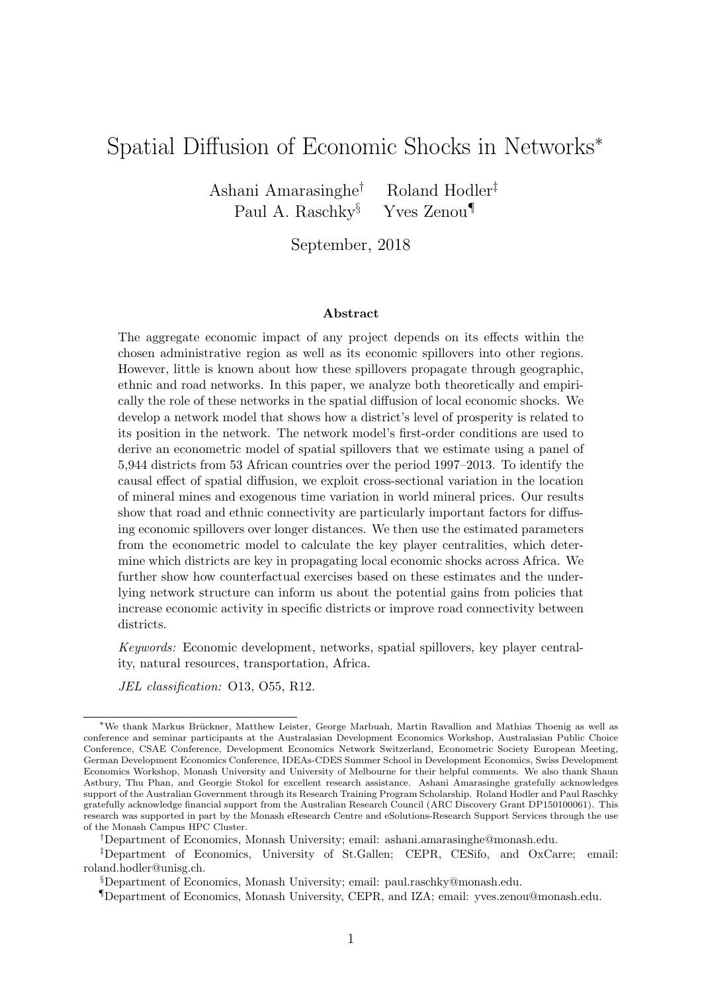# Spatial Diffusion of Economic Shocks in Networks<sup>∗</sup>

Ashani Amarasinghe† Roland Hodler‡ Paul A. Raschky§ Yves Zenou¶

September, 2018

#### Abstract

The aggregate economic impact of any project depends on its effects within the chosen administrative region as well as its economic spillovers into other regions. However, little is known about how these spillovers propagate through geographic, ethnic and road networks. In this paper, we analyze both theoretically and empirically the role of these networks in the spatial diffusion of local economic shocks. We develop a network model that shows how a district's level of prosperity is related to its position in the network. The network model's first-order conditions are used to derive an econometric model of spatial spillovers that we estimate using a panel of 5,944 districts from 53 African countries over the period 1997–2013. To identify the causal effect of spatial diffusion, we exploit cross-sectional variation in the location of mineral mines and exogenous time variation in world mineral prices. Our results show that road and ethnic connectivity are particularly important factors for diffusing economic spillovers over longer distances. We then use the estimated parameters from the econometric model to calculate the key player centralities, which determine which districts are key in propagating local economic shocks across Africa. We further show how counterfactual exercises based on these estimates and the underlying network structure can inform us about the potential gains from policies that increase economic activity in specific districts or improve road connectivity between districts.

Keywords: Economic development, networks, spatial spillovers, key player centrality, natural resources, transportation, Africa.

JEL classification: O13, O55, R12.

†Department of Economics, Monash University; email: ashani.amarasinghe@monash.edu.

<sup>∗</sup>We thank Markus Br¨uckner, Matthew Leister, George Marbuah, Martin Ravallion and Mathias Thoenig as well as conference and seminar participants at the Australasian Development Economics Workshop, Australasian Public Choice Conference, CSAE Conference, Development Economics Network Switzerland, Econometric Society European Meeting, German Development Economics Conference, IDEAs-CDES Summer School in Development Economics, Swiss Development Economics Workshop, Monash University and University of Melbourne for their helpful comments. We also thank Shaun Astbury, Thu Phan, and Georgie Stokol for excellent research assistance. Ashani Amarasinghe gratefully acknowledges support of the Australian Government through its Research Training Program Scholarship. Roland Hodler and Paul Raschky gratefully acknowledge financial support from the Australian Research Council (ARC Discovery Grant DP150100061). This research was supported in part by the Monash eResearch Centre and eSolutions-Research Support Services through the use of the Monash Campus HPC Cluster.

<sup>‡</sup>Department of Economics, University of St.Gallen; CEPR, CESifo, and OxCarre; email: roland.hodler@unisg.ch.

<sup>§</sup>Department of Economics, Monash University; email: paul.raschky@monash.edu.

<sup>¶</sup>Department of Economics, Monash University, CEPR, and IZA; email: yves.zenou@monash.edu.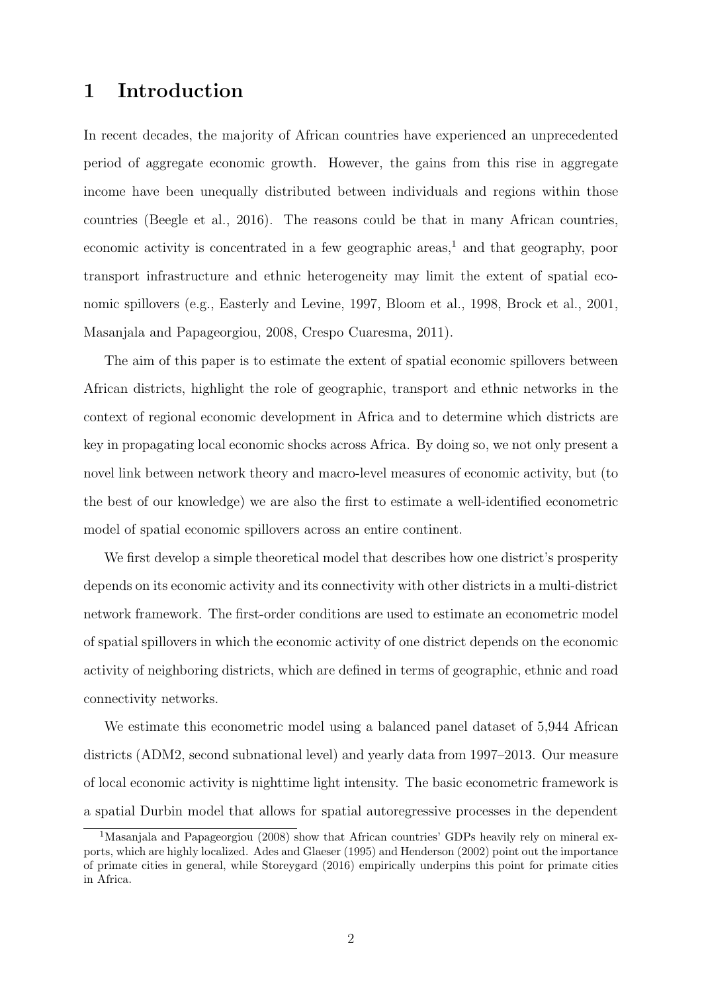# 1 Introduction

In recent decades, the majority of African countries have experienced an unprecedented period of aggregate economic growth. However, the gains from this rise in aggregate income have been unequally distributed between individuals and regions within those countries (Beegle et al., 2016). The reasons could be that in many African countries, economic activity is concentrated in a few geographic areas,<sup>1</sup> and that geography, poor transport infrastructure and ethnic heterogeneity may limit the extent of spatial economic spillovers (e.g., Easterly and Levine, 1997, Bloom et al., 1998, Brock et al., 2001, Masanjala and Papageorgiou, 2008, Crespo Cuaresma, 2011).

The aim of this paper is to estimate the extent of spatial economic spillovers between African districts, highlight the role of geographic, transport and ethnic networks in the context of regional economic development in Africa and to determine which districts are key in propagating local economic shocks across Africa. By doing so, we not only present a novel link between network theory and macro-level measures of economic activity, but (to the best of our knowledge) we are also the first to estimate a well-identified econometric model of spatial economic spillovers across an entire continent.

We first develop a simple theoretical model that describes how one district's prosperity depends on its economic activity and its connectivity with other districts in a multi-district network framework. The first-order conditions are used to estimate an econometric model of spatial spillovers in which the economic activity of one district depends on the economic activity of neighboring districts, which are defined in terms of geographic, ethnic and road connectivity networks.

We estimate this econometric model using a balanced panel dataset of 5,944 African districts (ADM2, second subnational level) and yearly data from 1997–2013. Our measure of local economic activity is nighttime light intensity. The basic econometric framework is a spatial Durbin model that allows for spatial autoregressive processes in the dependent

<sup>&</sup>lt;sup>1</sup>Masanjala and Papageorgiou (2008) show that African countries' GDPs heavily rely on mineral exports, which are highly localized. Ades and Glaeser (1995) and Henderson (2002) point out the importance of primate cities in general, while Storeygard (2016) empirically underpins this point for primate cities in Africa.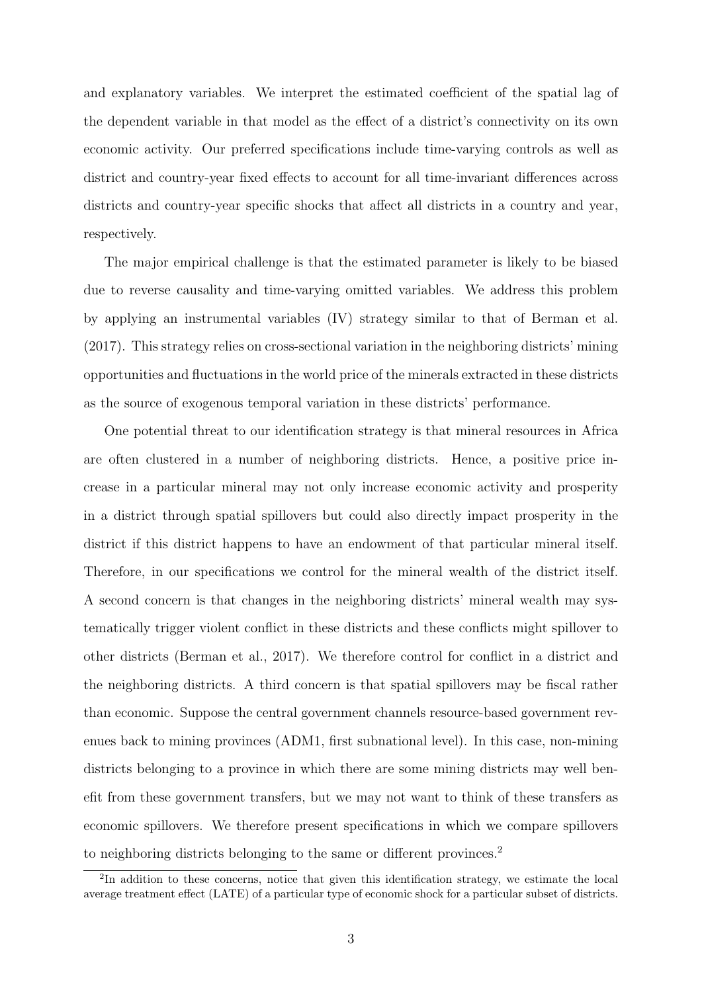and explanatory variables. We interpret the estimated coefficient of the spatial lag of the dependent variable in that model as the effect of a district's connectivity on its own economic activity. Our preferred specifications include time-varying controls as well as district and country-year fixed effects to account for all time-invariant differences across districts and country-year specific shocks that affect all districts in a country and year, respectively.

The major empirical challenge is that the estimated parameter is likely to be biased due to reverse causality and time-varying omitted variables. We address this problem by applying an instrumental variables (IV) strategy similar to that of Berman et al. (2017). This strategy relies on cross-sectional variation in the neighboring districts' mining opportunities and fluctuations in the world price of the minerals extracted in these districts as the source of exogenous temporal variation in these districts' performance.

One potential threat to our identification strategy is that mineral resources in Africa are often clustered in a number of neighboring districts. Hence, a positive price increase in a particular mineral may not only increase economic activity and prosperity in a district through spatial spillovers but could also directly impact prosperity in the district if this district happens to have an endowment of that particular mineral itself. Therefore, in our specifications we control for the mineral wealth of the district itself. A second concern is that changes in the neighboring districts' mineral wealth may systematically trigger violent conflict in these districts and these conflicts might spillover to other districts (Berman et al., 2017). We therefore control for conflict in a district and the neighboring districts. A third concern is that spatial spillovers may be fiscal rather than economic. Suppose the central government channels resource-based government revenues back to mining provinces (ADM1, first subnational level). In this case, non-mining districts belonging to a province in which there are some mining districts may well benefit from these government transfers, but we may not want to think of these transfers as economic spillovers. We therefore present specifications in which we compare spillovers to neighboring districts belonging to the same or different provinces.<sup>2</sup>

<sup>&</sup>lt;sup>2</sup>In addition to these concerns, notice that given this identification strategy, we estimate the local average treatment effect (LATE) of a particular type of economic shock for a particular subset of districts.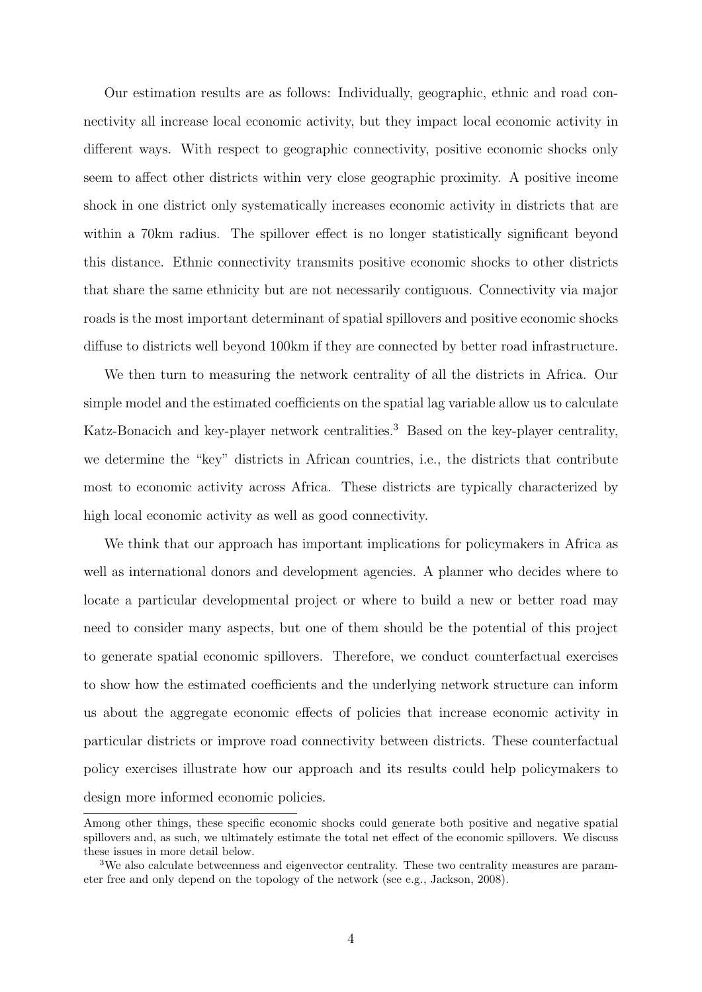Our estimation results are as follows: Individually, geographic, ethnic and road connectivity all increase local economic activity, but they impact local economic activity in different ways. With respect to geographic connectivity, positive economic shocks only seem to affect other districts within very close geographic proximity. A positive income shock in one district only systematically increases economic activity in districts that are within a 70km radius. The spillover effect is no longer statistically significant beyond this distance. Ethnic connectivity transmits positive economic shocks to other districts that share the same ethnicity but are not necessarily contiguous. Connectivity via major roads is the most important determinant of spatial spillovers and positive economic shocks diffuse to districts well beyond 100km if they are connected by better road infrastructure.

We then turn to measuring the network centrality of all the districts in Africa. Our simple model and the estimated coefficients on the spatial lag variable allow us to calculate Katz-Bonacich and key-player network centralities.<sup>3</sup> Based on the key-player centrality, we determine the "key" districts in African countries, i.e., the districts that contribute most to economic activity across Africa. These districts are typically characterized by high local economic activity as well as good connectivity.

We think that our approach has important implications for policymakers in Africa as well as international donors and development agencies. A planner who decides where to locate a particular developmental project or where to build a new or better road may need to consider many aspects, but one of them should be the potential of this project to generate spatial economic spillovers. Therefore, we conduct counterfactual exercises to show how the estimated coefficients and the underlying network structure can inform us about the aggregate economic effects of policies that increase economic activity in particular districts or improve road connectivity between districts. These counterfactual policy exercises illustrate how our approach and its results could help policymakers to design more informed economic policies.

Among other things, these specific economic shocks could generate both positive and negative spatial spillovers and, as such, we ultimately estimate the total net effect of the economic spillovers. We discuss these issues in more detail below.

<sup>&</sup>lt;sup>3</sup>We also calculate betweenness and eigenvector centrality. These two centrality measures are parameter free and only depend on the topology of the network (see e.g., Jackson, 2008).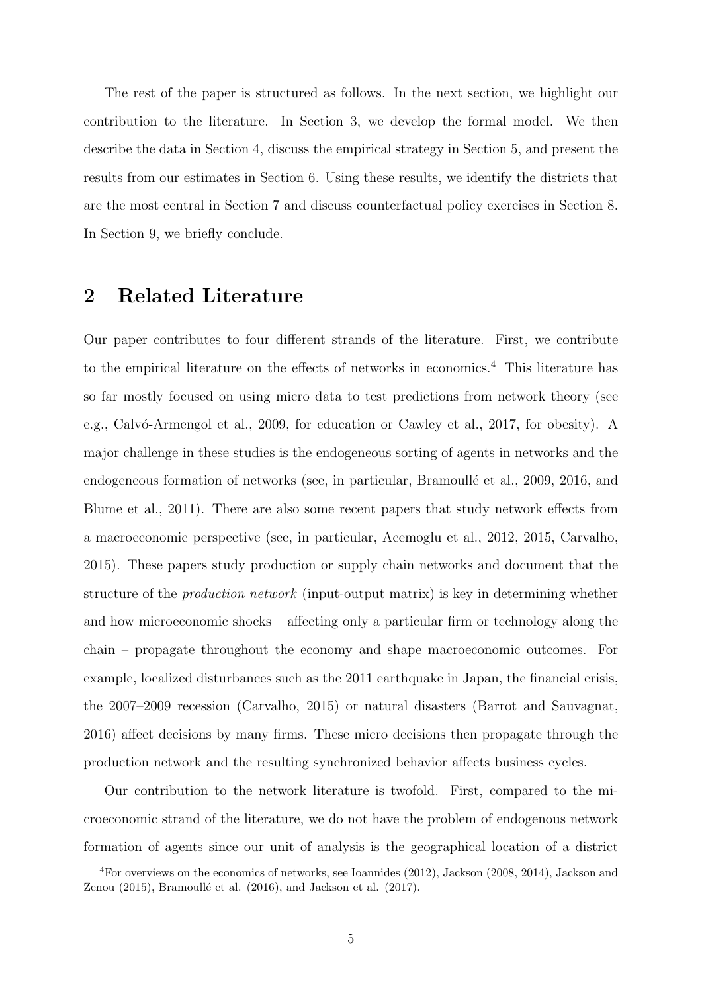The rest of the paper is structured as follows. In the next section, we highlight our contribution to the literature. In Section 3, we develop the formal model. We then describe the data in Section 4, discuss the empirical strategy in Section 5, and present the results from our estimates in Section 6. Using these results, we identify the districts that are the most central in Section 7 and discuss counterfactual policy exercises in Section 8. In Section 9, we briefly conclude.

# 2 Related Literature

Our paper contributes to four different strands of the literature. First, we contribute to the empirical literature on the effects of networks in economics.<sup>4</sup> This literature has so far mostly focused on using micro data to test predictions from network theory (see e.g., Calvó-Armengol et al., 2009, for education or Cawley et al., 2017, for obesity). A major challenge in these studies is the endogeneous sorting of agents in networks and the endogeneous formation of networks (see, in particular, Bramoullé et al., 2009, 2016, and Blume et al., 2011). There are also some recent papers that study network effects from a macroeconomic perspective (see, in particular, Acemoglu et al., 2012, 2015, Carvalho, 2015). These papers study production or supply chain networks and document that the structure of the production network (input-output matrix) is key in determining whether and how microeconomic shocks – affecting only a particular firm or technology along the chain – propagate throughout the economy and shape macroeconomic outcomes. For example, localized disturbances such as the 2011 earthquake in Japan, the financial crisis, the 2007–2009 recession (Carvalho, 2015) or natural disasters (Barrot and Sauvagnat, 2016) affect decisions by many firms. These micro decisions then propagate through the production network and the resulting synchronized behavior affects business cycles.

Our contribution to the network literature is twofold. First, compared to the microeconomic strand of the literature, we do not have the problem of endogenous network formation of agents since our unit of analysis is the geographical location of a district

<sup>4</sup>For overviews on the economics of networks, see Ioannides (2012), Jackson (2008, 2014), Jackson and Zenou  $(2015)$ , Bramoullé et al.  $(2016)$ , and Jackson et al.  $(2017)$ .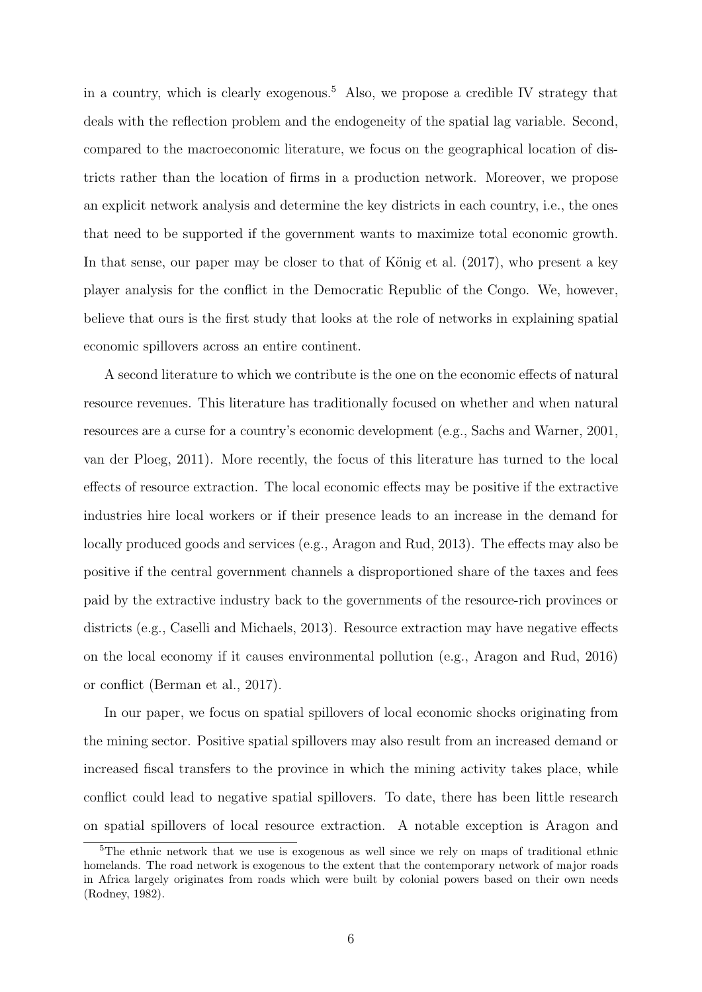in a country, which is clearly exogenous.<sup>5</sup> Also, we propose a credible IV strategy that deals with the reflection problem and the endogeneity of the spatial lag variable. Second, compared to the macroeconomic literature, we focus on the geographical location of districts rather than the location of firms in a production network. Moreover, we propose an explicit network analysis and determine the key districts in each country, i.e., the ones that need to be supported if the government wants to maximize total economic growth. In that sense, our paper may be closer to that of König et al.  $(2017)$ , who present a key player analysis for the conflict in the Democratic Republic of the Congo. We, however, believe that ours is the first study that looks at the role of networks in explaining spatial economic spillovers across an entire continent.

A second literature to which we contribute is the one on the economic effects of natural resource revenues. This literature has traditionally focused on whether and when natural resources are a curse for a country's economic development (e.g., Sachs and Warner, 2001, van der Ploeg, 2011). More recently, the focus of this literature has turned to the local effects of resource extraction. The local economic effects may be positive if the extractive industries hire local workers or if their presence leads to an increase in the demand for locally produced goods and services (e.g., Aragon and Rud, 2013). The effects may also be positive if the central government channels a disproportioned share of the taxes and fees paid by the extractive industry back to the governments of the resource-rich provinces or districts (e.g., Caselli and Michaels, 2013). Resource extraction may have negative effects on the local economy if it causes environmental pollution (e.g., Aragon and Rud, 2016) or conflict (Berman et al., 2017).

In our paper, we focus on spatial spillovers of local economic shocks originating from the mining sector. Positive spatial spillovers may also result from an increased demand or increased fiscal transfers to the province in which the mining activity takes place, while conflict could lead to negative spatial spillovers. To date, there has been little research on spatial spillovers of local resource extraction. A notable exception is Aragon and

<sup>&</sup>lt;sup>5</sup>The ethnic network that we use is exogenous as well since we rely on maps of traditional ethnic homelands. The road network is exogenous to the extent that the contemporary network of major roads in Africa largely originates from roads which were built by colonial powers based on their own needs (Rodney, 1982).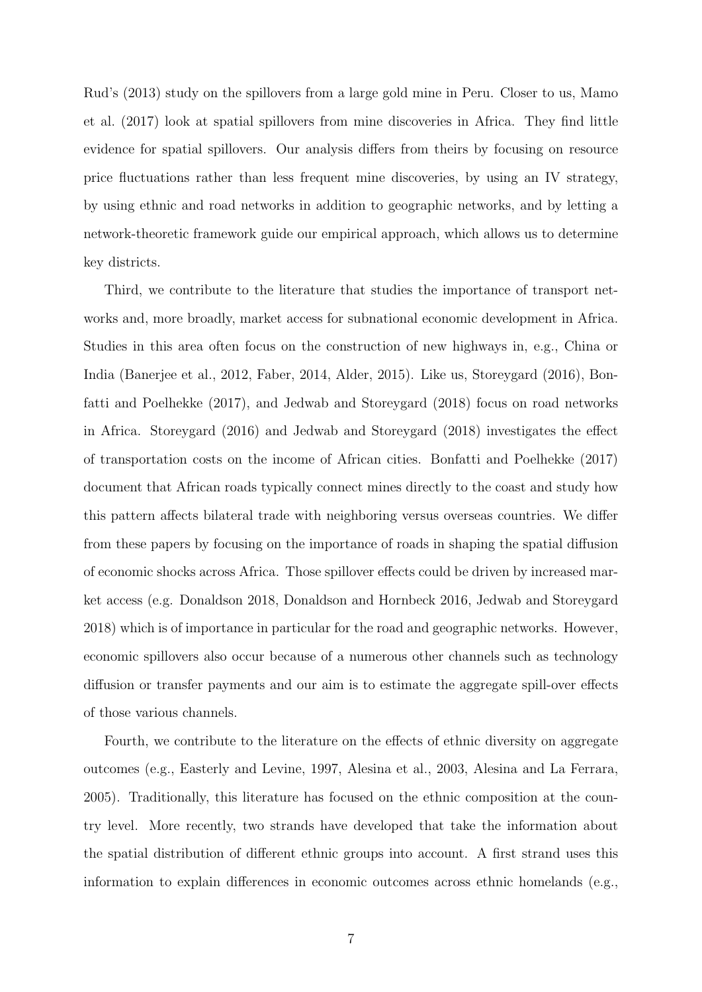Rud's (2013) study on the spillovers from a large gold mine in Peru. Closer to us, Mamo et al. (2017) look at spatial spillovers from mine discoveries in Africa. They find little evidence for spatial spillovers. Our analysis differs from theirs by focusing on resource price fluctuations rather than less frequent mine discoveries, by using an IV strategy, by using ethnic and road networks in addition to geographic networks, and by letting a network-theoretic framework guide our empirical approach, which allows us to determine key districts.

Third, we contribute to the literature that studies the importance of transport networks and, more broadly, market access for subnational economic development in Africa. Studies in this area often focus on the construction of new highways in, e.g., China or India (Banerjee et al., 2012, Faber, 2014, Alder, 2015). Like us, Storeygard (2016), Bonfatti and Poelhekke (2017), and Jedwab and Storeygard (2018) focus on road networks in Africa. Storeygard (2016) and Jedwab and Storeygard (2018) investigates the effect of transportation costs on the income of African cities. Bonfatti and Poelhekke (2017) document that African roads typically connect mines directly to the coast and study how this pattern affects bilateral trade with neighboring versus overseas countries. We differ from these papers by focusing on the importance of roads in shaping the spatial diffusion of economic shocks across Africa. Those spillover effects could be driven by increased market access (e.g. Donaldson 2018, Donaldson and Hornbeck 2016, Jedwab and Storeygard 2018) which is of importance in particular for the road and geographic networks. However, economic spillovers also occur because of a numerous other channels such as technology diffusion or transfer payments and our aim is to estimate the aggregate spill-over effects of those various channels.

Fourth, we contribute to the literature on the effects of ethnic diversity on aggregate outcomes (e.g., Easterly and Levine, 1997, Alesina et al., 2003, Alesina and La Ferrara, 2005). Traditionally, this literature has focused on the ethnic composition at the country level. More recently, two strands have developed that take the information about the spatial distribution of different ethnic groups into account. A first strand uses this information to explain differences in economic outcomes across ethnic homelands (e.g.,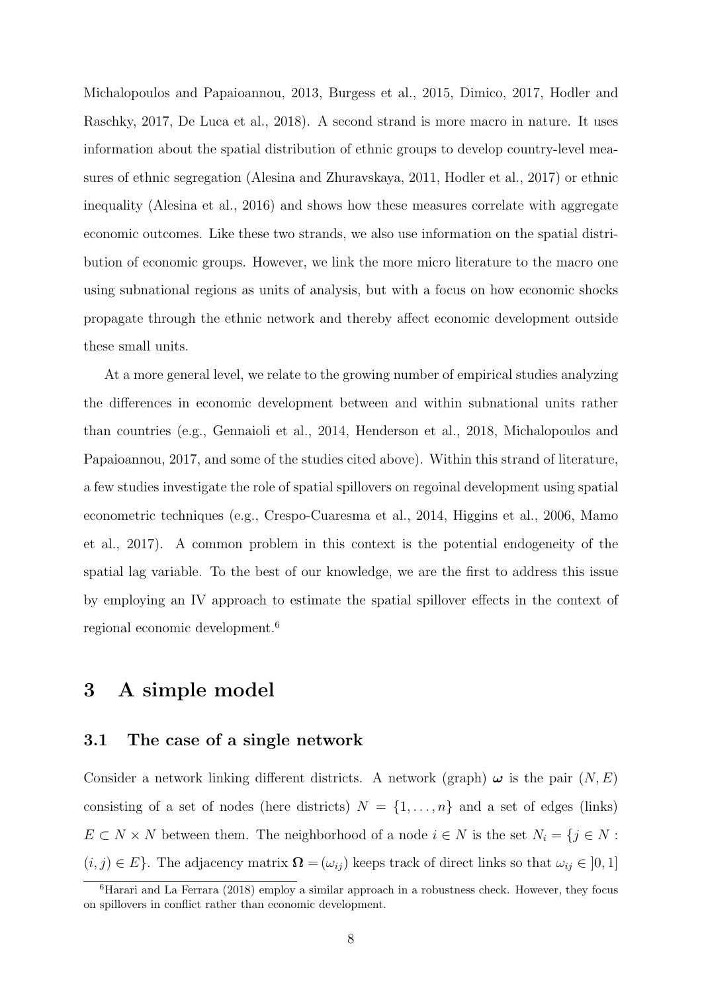Michalopoulos and Papaioannou, 2013, Burgess et al., 2015, Dimico, 2017, Hodler and Raschky, 2017, De Luca et al., 2018). A second strand is more macro in nature. It uses information about the spatial distribution of ethnic groups to develop country-level measures of ethnic segregation (Alesina and Zhuravskaya, 2011, Hodler et al., 2017) or ethnic inequality (Alesina et al., 2016) and shows how these measures correlate with aggregate economic outcomes. Like these two strands, we also use information on the spatial distribution of economic groups. However, we link the more micro literature to the macro one using subnational regions as units of analysis, but with a focus on how economic shocks propagate through the ethnic network and thereby affect economic development outside these small units.

At a more general level, we relate to the growing number of empirical studies analyzing the differences in economic development between and within subnational units rather than countries (e.g., Gennaioli et al., 2014, Henderson et al., 2018, Michalopoulos and Papaioannou, 2017, and some of the studies cited above). Within this strand of literature, a few studies investigate the role of spatial spillovers on regoinal development using spatial econometric techniques (e.g., Crespo-Cuaresma et al., 2014, Higgins et al., 2006, Mamo et al., 2017). A common problem in this context is the potential endogeneity of the spatial lag variable. To the best of our knowledge, we are the first to address this issue by employing an IV approach to estimate the spatial spillover effects in the context of regional economic development.<sup>6</sup>

# 3 A simple model

## 3.1 The case of a single network

Consider a network linking different districts. A network (graph)  $\omega$  is the pair  $(N, E)$ consisting of a set of nodes (here districts)  $N = \{1, \ldots, n\}$  and a set of edges (links)  $E \subset N \times N$  between them. The neighborhood of a node  $i \in N$  is the set  $N_i = \{j \in N :$  $(i, j) \in E$ . The adjacency matrix  $\mathbf{\Omega} = (\omega_{ij})$  keeps track of direct links so that  $\omega_{ij} \in [0, 1]$ 

<sup>6</sup>Harari and La Ferrara (2018) employ a similar approach in a robustness check. However, they focus on spillovers in conflict rather than economic development.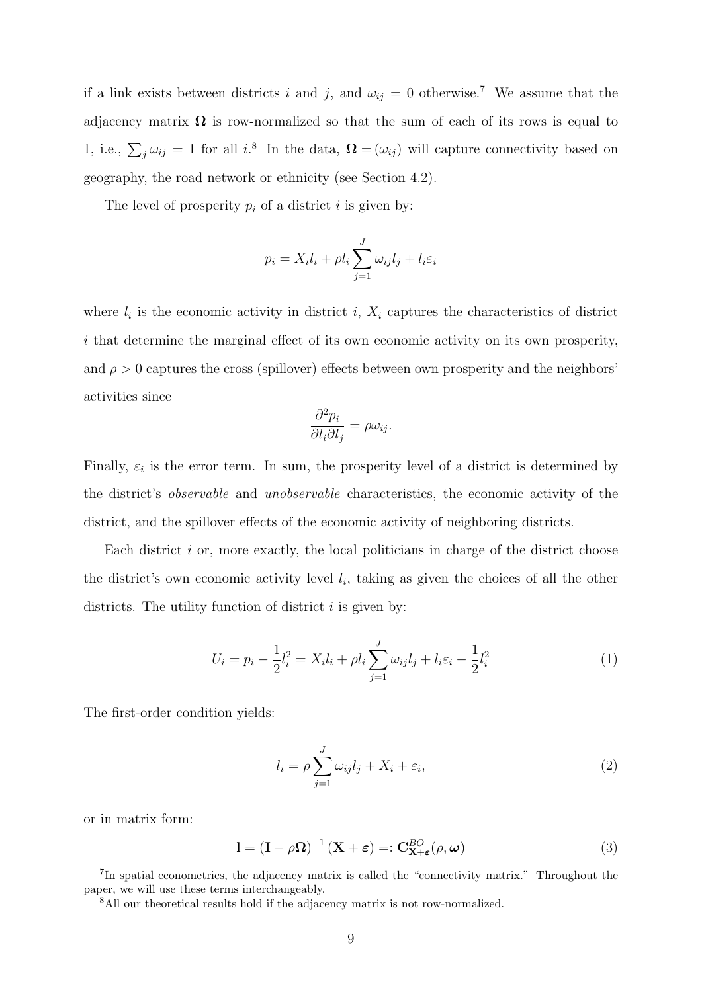if a link exists between districts i and j, and  $\omega_{ij} = 0$  otherwise.<sup>7</sup> We assume that the adjacency matrix  $\Omega$  is row-normalized so that the sum of each of its rows is equal to 1, i.e.,  $\sum_j \omega_{ij} = 1$  for all i.<sup>8</sup> In the data,  $\mathbf{\Omega} = (\omega_{ij})$  will capture connectivity based on geography, the road network or ethnicity (see Section 4.2).

The level of prosperity  $p_i$  of a district i is given by:

$$
p_i = X_i l_i + \rho l_i \sum_{j=1}^{J} \omega_{ij} l_j + l_i \varepsilon_i
$$

where  $l_i$  is the economic activity in district i,  $X_i$  captures the characteristics of district i that determine the marginal effect of its own economic activity on its own prosperity, and  $\rho > 0$  captures the cross (spillover) effects between own prosperity and the neighbors' activities since

$$
\frac{\partial^2 p_i}{\partial l_i \partial l_j} = \rho \omega_{ij}.
$$

Finally,  $\varepsilon_i$  is the error term. In sum, the prosperity level of a district is determined by the district's observable and unobservable characteristics, the economic activity of the district, and the spillover effects of the economic activity of neighboring districts.

Each district  $i$  or, more exactly, the local politicians in charge of the district choose the district's own economic activity level  $l_i$ , taking as given the choices of all the other districts. The utility function of district  $i$  is given by:

$$
U_i = p_i - \frac{1}{2}l_i^2 = X_i l_i + \rho l_i \sum_{j=1}^{J} \omega_{ij} l_j + l_i \varepsilon_i - \frac{1}{2}l_i^2
$$
 (1)

The first-order condition yields:

$$
l_i = \rho \sum_{j=1}^{J} \omega_{ij} l_j + X_i + \varepsilon_i,
$$
\n(2)

or in matrix form:

$$
\mathbf{l} = (\mathbf{I} - \rho \mathbf{\Omega})^{-1} (\mathbf{X} + \boldsymbol{\varepsilon}) =: \mathbf{C}_{\mathbf{X} + \boldsymbol{\varepsilon}}^{BO}(\rho, \boldsymbol{\omega})
$$
(3)

<sup>&</sup>lt;sup>7</sup>In spatial econometrics, the adjacency matrix is called the "connectivity matrix." Throughout the paper, we will use these terms interchangeably.

<sup>8</sup>All our theoretical results hold if the adjacency matrix is not row-normalized.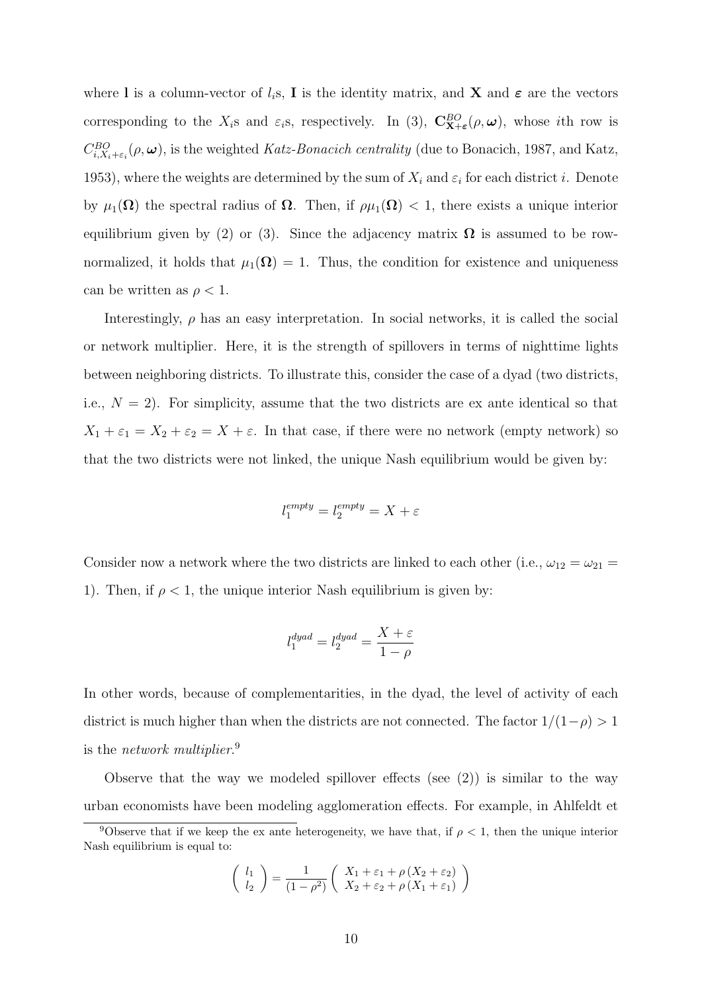where l is a column-vector of  $l_i$ s, I is the identity matrix, and X and  $\epsilon$  are the vectors corresponding to the  $X_i$ s and  $\varepsilon_i$ s, respectively. In (3),  $\mathbf{C}_{\mathbf{X}+\varepsilon}^{BO}(\rho,\omega)$ , whose *i*th row is  $C_{i,X_i+\varepsilon_i}^{BO}(\rho,\omega)$ , is the weighted Katz-Bonacich centrality (due to Bonacich, 1987, and Katz, 1953), where the weights are determined by the sum of  $X_i$  and  $\varepsilon_i$  for each district i. Denote by  $\mu_1(\Omega)$  the spectral radius of  $\Omega$ . Then, if  $\rho\mu_1(\Omega) < 1$ , there exists a unique interior equilibrium given by (2) or (3). Since the adjacency matrix  $\Omega$  is assumed to be rownormalized, it holds that  $\mu_1(\Omega) = 1$ . Thus, the condition for existence and uniqueness can be written as  $\rho < 1$ .

Interestingly,  $\rho$  has an easy interpretation. In social networks, it is called the social or network multiplier. Here, it is the strength of spillovers in terms of nighttime lights between neighboring districts. To illustrate this, consider the case of a dyad (two districts, i.e.,  $N = 2$ ). For simplicity, assume that the two districts are ex ante identical so that  $X_1 + \varepsilon_1 = X_2 + \varepsilon_2 = X + \varepsilon$ . In that case, if there were no network (empty network) so that the two districts were not linked, the unique Nash equilibrium would be given by:

$$
l_1^{empty} = l_2^{empty} = X + \varepsilon
$$

Consider now a network where the two districts are linked to each other (i.e.,  $\omega_{12} = \omega_{21} =$ 1). Then, if  $\rho < 1$ , the unique interior Nash equilibrium is given by:

$$
l_1^{dyad} = l_2^{dyad} = \frac{X + \varepsilon}{1 - \rho}
$$

In other words, because of complementarities, in the dyad, the level of activity of each district is much higher than when the districts are not connected. The factor  $1/(1-\rho) > 1$ is the *network multiplier*.<sup>9</sup>

Observe that the way we modeled spillover effects (see  $(2)$ ) is similar to the way urban economists have been modeling agglomeration effects. For example, in Ahlfeldt et

$$
\left(\begin{array}{c} l_1\\ l_2 \end{array}\right) = \frac{1}{(1-\rho^2)} \left(\begin{array}{c} X_1 + \varepsilon_1 + \rho \left(X_2 + \varepsilon_2\right) \\ X_2 + \varepsilon_2 + \rho \left(X_1 + \varepsilon_1\right) \end{array}\right)
$$

<sup>&</sup>lt;sup>9</sup>Observe that if we keep the ex ante heterogeneity, we have that, if  $\rho < 1$ , then the unique interior Nash equilibrium is equal to: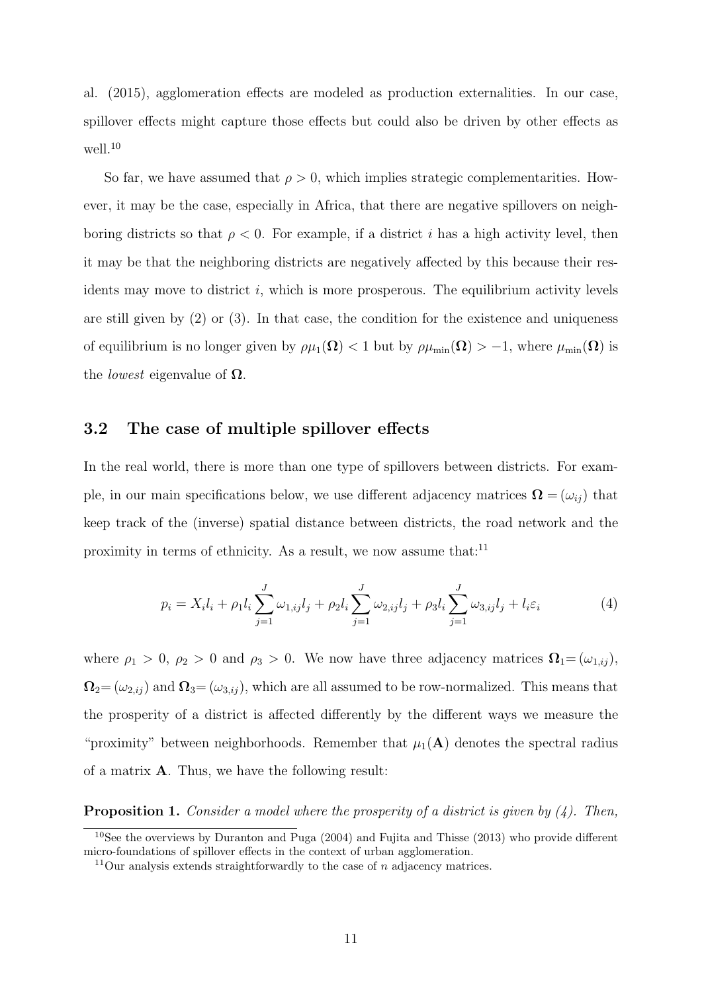al. (2015), agglomeration effects are modeled as production externalities. In our case, spillover effects might capture those effects but could also be driven by other effects as well.<sup>10</sup>

So far, we have assumed that  $\rho > 0$ , which implies strategic complementarities. However, it may be the case, especially in Africa, that there are negative spillovers on neighboring districts so that  $\rho < 0$ . For example, if a district i has a high activity level, then it may be that the neighboring districts are negatively affected by this because their residents may move to district  $i$ , which is more prosperous. The equilibrium activity levels are still given by  $(2)$  or  $(3)$ . In that case, the condition for the existence and uniqueness of equilibrium is no longer given by  $\rho\mu_1(\mathbf{\Omega}) < 1$  but by  $\rho\mu_{\min}(\mathbf{\Omega}) > -1$ , where  $\mu_{\min}(\mathbf{\Omega})$  is the *lowest* eigenvalue of  $\Omega$ .

## 3.2 The case of multiple spillover effects

In the real world, there is more than one type of spillovers between districts. For example, in our main specifications below, we use different adjacency matrices  $\mathbf{\Omega} = (\omega_{ij})$  that keep track of the (inverse) spatial distance between districts, the road network and the proximity in terms of ethnicity. As a result, we now assume that:<sup>11</sup>

$$
p_i = X_i l_i + \rho_1 l_i \sum_{j=1}^{J} \omega_{1,ij} l_j + \rho_2 l_i \sum_{j=1}^{J} \omega_{2,ij} l_j + \rho_3 l_i \sum_{j=1}^{J} \omega_{3,ij} l_j + l_i \varepsilon_i
$$
 (4)

where  $\rho_1 > 0$ ,  $\rho_2 > 0$  and  $\rho_3 > 0$ . We now have three adjacency matrices  $\Omega_1 = (\omega_{1,ij}),$  $\Omega_2 = (\omega_{2,ij})$  and  $\Omega_3 = (\omega_{3,ij})$ , which are all assumed to be row-normalized. This means that the prosperity of a district is affected differently by the different ways we measure the "proximity" between neighborhoods. Remember that  $\mu_1(A)$  denotes the spectral radius of a matrix A. Thus, we have the following result:

**Proposition 1.** Consider a model where the prosperity of a district is given by  $(4)$ . Then,

<sup>10</sup>See the overviews by Duranton and Puga (2004) and Fujita and Thisse (2013) who provide different micro-foundations of spillover effects in the context of urban agglomeration.

<sup>&</sup>lt;sup>11</sup>Our analysis extends straightforwardly to the case of n adjacency matrices.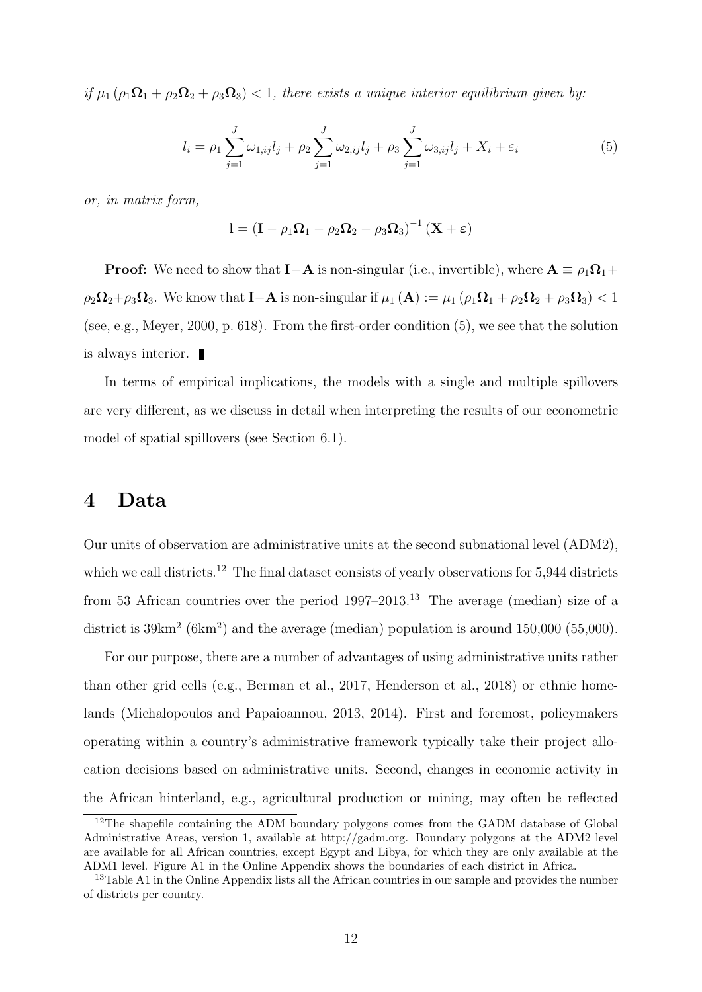if  $\mu_1$   $(\rho_1 \Omega_1 + \rho_2 \Omega_2 + \rho_3 \Omega_3)$  < 1, there exists a unique interior equilibrium given by:

$$
l_i = \rho_1 \sum_{j=1}^{J} \omega_{1,ij} l_j + \rho_2 \sum_{j=1}^{J} \omega_{2,ij} l_j + \rho_3 \sum_{j=1}^{J} \omega_{3,ij} l_j + X_i + \varepsilon_i
$$
(5)

or, in matrix form,

$$
I = (I - \rho_1 \Omega_1 - \rho_2 \Omega_2 - \rho_3 \Omega_3)^{-1} (X + \varepsilon)
$$

**Proof:** We need to show that **I**-A is non-singular (i.e., invertible), where  $A \equiv \rho_1 \Omega_1 +$  $\rho_2\Omega_2+\rho_3\Omega_3$ . We know that **I**-**A** is non-singular if  $\mu_1(\mathbf{A}) := \mu_1(\rho_1\Omega_1 + \rho_2\Omega_2 + \rho_3\Omega_3) < 1$ (see, e.g., Meyer, 2000, p. 618). From the first-order condition (5), we see that the solution is always interior.

In terms of empirical implications, the models with a single and multiple spillovers are very different, as we discuss in detail when interpreting the results of our econometric model of spatial spillovers (see Section 6.1).

# 4 Data

Our units of observation are administrative units at the second subnational level (ADM2), which we call districts.<sup>12</sup> The final dataset consists of yearly observations for 5,944 districts from 53 African countries over the period  $1997-2013$ .<sup>13</sup> The average (median) size of a district is  $39 \text{km}^2$  (6km<sup>2</sup>) and the average (median) population is around  $150,000$  (55,000).

For our purpose, there are a number of advantages of using administrative units rather than other grid cells (e.g., Berman et al., 2017, Henderson et al., 2018) or ethnic homelands (Michalopoulos and Papaioannou, 2013, 2014). First and foremost, policymakers operating within a country's administrative framework typically take their project allocation decisions based on administrative units. Second, changes in economic activity in the African hinterland, e.g., agricultural production or mining, may often be reflected

<sup>&</sup>lt;sup>12</sup>The shapefile containing the ADM boundary polygons comes from the GADM database of Global Administrative Areas, version 1, available at http://gadm.org. Boundary polygons at the ADM2 level are available for all African countries, except Egypt and Libya, for which they are only available at the ADM1 level. Figure A1 in the Online Appendix shows the boundaries of each district in Africa.

<sup>&</sup>lt;sup>13</sup>Table A1 in the Online Appendix lists all the African countries in our sample and provides the number of districts per country.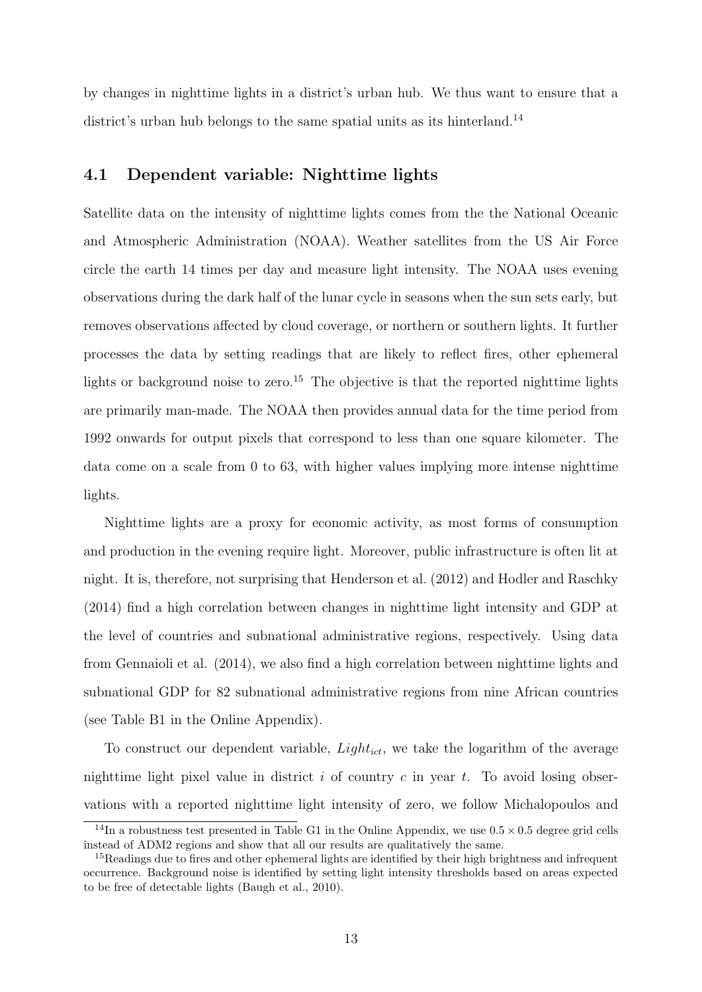by changes in nighttime lights in a district's urban hub. We thus want to ensure that a district's urban hub belongs to the same spatial units as its hinterland.<sup>14</sup>

# 4.1 Dependent variable: Nighttime lights

Satellite data on the intensity of nighttime lights comes from the the National Oceanic and Atmospheric Administration (NOAA). Weather satellites from the US Air Force circle the earth 14 times per day and measure light intensity. The NOAA uses evening observations during the dark half of the lunar cycle in seasons when the sun sets early, but removes observations affected by cloud coverage, or northern or southern lights. It further processes the data by setting readings that are likely to reflect fires, other ephemeral lights or background noise to zero.<sup>15</sup> The objective is that the reported nighttime lights are primarily man-made. The NOAA then provides annual data for the time period from 1992 onwards for output pixels that correspond to less than one square kilometer. The data come on a scale from 0 to 63, with higher values implying more intense nighttime lights.

Nighttime lights are a proxy for economic activity, as most forms of consumption and production in the evening require light. Moreover, public infrastructure is often lit at night. It is, therefore, not surprising that Henderson et al. (2012) and Hodler and Raschky (2014) find a high correlation between changes in nighttime light intensity and GDP at the level of countries and subnational administrative regions, respectively. Using data from Gennaioli et al. (2014), we also find a high correlation between nighttime lights and subnational GDP for 82 subnational administrative regions from nine African countries (see Table B1 in the Online Appendix).

To construct our dependent variable,  $Light_{ict}$ , we take the logarithm of the average nighttime light pixel value in district  $i$  of country  $c$  in year  $t$ . To avoid losing observations with a reported nighttime light intensity of zero, we follow Michalopoulos and

<sup>&</sup>lt;sup>14</sup>In a robustness test presented in Table G1 in the Online Appendix, we use  $0.5 \times 0.5$  degree grid cells instead of ADM2 regions and show that all our results are qualitatively the same.

<sup>&</sup>lt;sup>15</sup>Readings due to fires and other ephemeral lights are identified by their high brightness and infrequent occurrence. Background noise is identified by setting light intensity thresholds based on areas expected to be free of detectable lights (Baugh et al., 2010).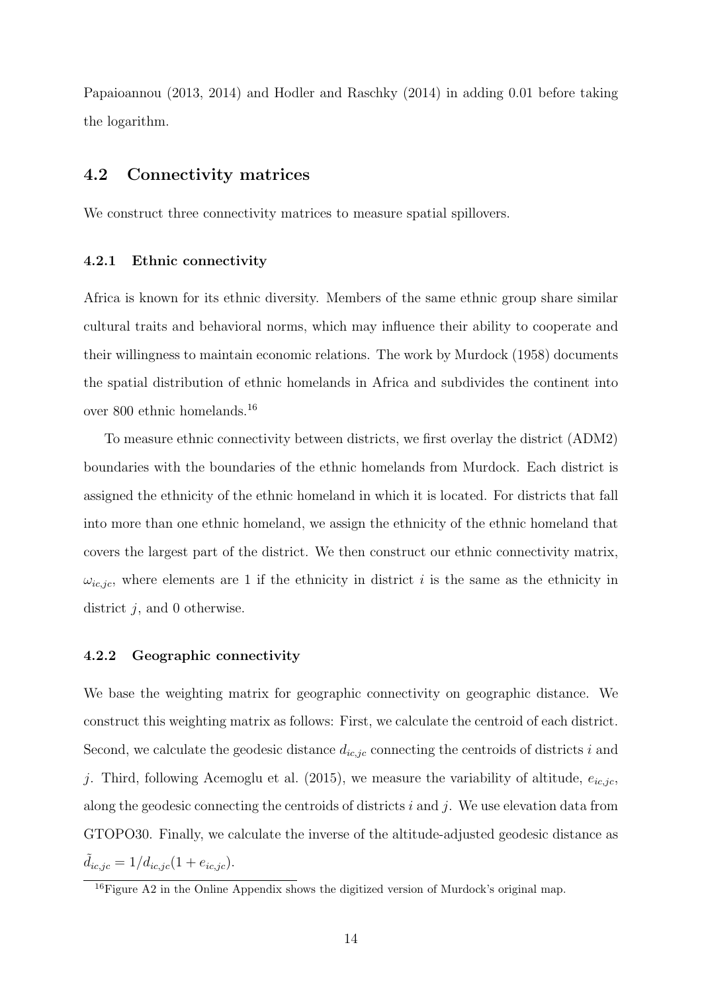Papaioannou (2013, 2014) and Hodler and Raschky (2014) in adding 0.01 before taking the logarithm.

## 4.2 Connectivity matrices

We construct three connectivity matrices to measure spatial spillovers.

#### 4.2.1 Ethnic connectivity

Africa is known for its ethnic diversity. Members of the same ethnic group share similar cultural traits and behavioral norms, which may influence their ability to cooperate and their willingness to maintain economic relations. The work by Murdock (1958) documents the spatial distribution of ethnic homelands in Africa and subdivides the continent into over 800 ethnic homelands.<sup>16</sup>

To measure ethnic connectivity between districts, we first overlay the district (ADM2) boundaries with the boundaries of the ethnic homelands from Murdock. Each district is assigned the ethnicity of the ethnic homeland in which it is located. For districts that fall into more than one ethnic homeland, we assign the ethnicity of the ethnic homeland that covers the largest part of the district. We then construct our ethnic connectivity matrix,  $\omega_{ic,jc}$ , where elements are 1 if the ethnicity in district *i* is the same as the ethnicity in district  $j$ , and 0 otherwise.

#### 4.2.2 Geographic connectivity

We base the weighting matrix for geographic connectivity on geographic distance. We construct this weighting matrix as follows: First, we calculate the centroid of each district. Second, we calculate the geodesic distance  $d_{ic,jc}$  connecting the centroids of districts i and j. Third, following Acemoglu et al. (2015), we measure the variability of altitude,  $e_{ic,jc}$ , along the geodesic connecting the centroids of districts  $i$  and  $j$ . We use elevation data from GTOPO30. Finally, we calculate the inverse of the altitude-adjusted geodesic distance as  $d_{ic,jc} = 1/d_{ic,jc} (1 + e_{ic,jc}).$ 

 $16$ Figure A2 in the Online Appendix shows the digitized version of Murdock's original map.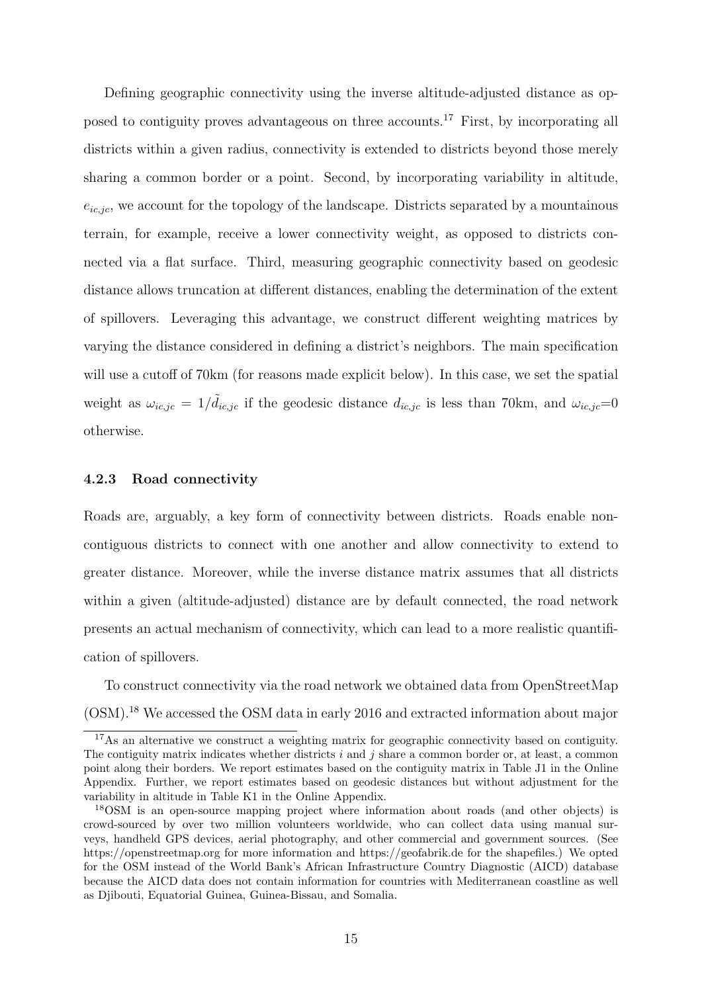Defining geographic connectivity using the inverse altitude-adjusted distance as opposed to contiguity proves advantageous on three accounts.<sup>17</sup> First, by incorporating all districts within a given radius, connectivity is extended to districts beyond those merely sharing a common border or a point. Second, by incorporating variability in altitude,  $e_{ic,ic}$ , we account for the topology of the landscape. Districts separated by a mountainous terrain, for example, receive a lower connectivity weight, as opposed to districts connected via a flat surface. Third, measuring geographic connectivity based on geodesic distance allows truncation at different distances, enabling the determination of the extent of spillovers. Leveraging this advantage, we construct different weighting matrices by varying the distance considered in defining a district's neighbors. The main specification will use a cutoff of 70km (for reasons made explicit below). In this case, we set the spatial weight as  $\omega_{ic,jc} = 1/\tilde{d}_{ic,jc}$  if the geodesic distance  $d_{ic,jc}$  is less than 70km, and  $\omega_{ic,jc}=0$ otherwise.

#### 4.2.3 Road connectivity

Roads are, arguably, a key form of connectivity between districts. Roads enable noncontiguous districts to connect with one another and allow connectivity to extend to greater distance. Moreover, while the inverse distance matrix assumes that all districts within a given (altitude-adjusted) distance are by default connected, the road network presents an actual mechanism of connectivity, which can lead to a more realistic quantification of spillovers.

To construct connectivity via the road network we obtained data from OpenStreetMap (OSM).<sup>18</sup> We accessed the OSM data in early 2016 and extracted information about major

<sup>&</sup>lt;sup>17</sup>As an alternative we construct a weighting matrix for geographic connectivity based on contiguity. The contiguity matrix indicates whether districts  $i$  and  $j$  share a common border or, at least, a common point along their borders. We report estimates based on the contiguity matrix in Table J1 in the Online Appendix. Further, we report estimates based on geodesic distances but without adjustment for the variability in altitude in Table K1 in the Online Appendix.

<sup>18</sup>OSM is an open-source mapping project where information about roads (and other objects) is crowd-sourced by over two million volunteers worldwide, who can collect data using manual surveys, handheld GPS devices, aerial photography, and other commercial and government sources. (See https://openstreetmap.org for more information and https://geofabrik.de for the shapefiles.) We opted for the OSM instead of the World Bank's African Infrastructure Country Diagnostic (AICD) database because the AICD data does not contain information for countries with Mediterranean coastline as well as Djibouti, Equatorial Guinea, Guinea-Bissau, and Somalia.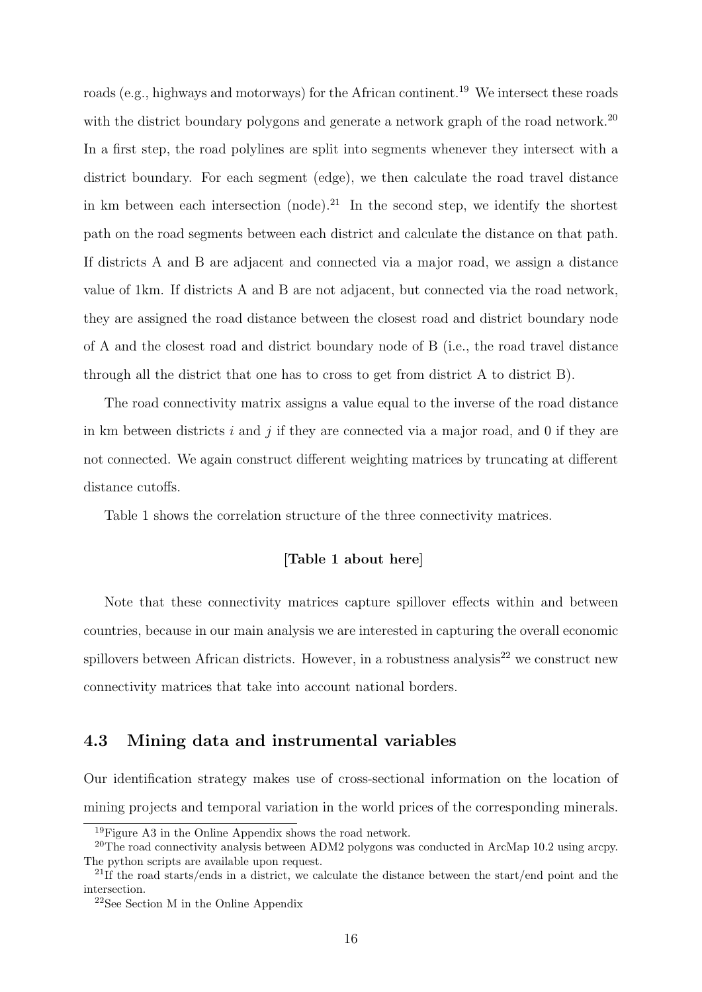roads (e.g., highways and motorways) for the African continent.<sup>19</sup> We intersect these roads with the district boundary polygons and generate a network graph of the road network.<sup>20</sup> In a first step, the road polylines are split into segments whenever they intersect with a district boundary. For each segment (edge), we then calculate the road travel distance in km between each intersection (node).<sup>21</sup> In the second step, we identify the shortest path on the road segments between each district and calculate the distance on that path. If districts A and B are adjacent and connected via a major road, we assign a distance value of 1km. If districts A and B are not adjacent, but connected via the road network, they are assigned the road distance between the closest road and district boundary node of A and the closest road and district boundary node of B (i.e., the road travel distance through all the district that one has to cross to get from district A to district B).

The road connectivity matrix assigns a value equal to the inverse of the road distance in km between districts  $i$  and  $j$  if they are connected via a major road, and 0 if they are not connected. We again construct different weighting matrices by truncating at different distance cutoffs.

Table 1 shows the correlation structure of the three connectivity matrices.

#### [Table 1 about here]

Note that these connectivity matrices capture spillover effects within and between countries, because in our main analysis we are interested in capturing the overall economic spillovers between African districts. However, in a robustness analysis<sup>22</sup> we construct new connectivity matrices that take into account national borders.

# 4.3 Mining data and instrumental variables

Our identification strategy makes use of cross-sectional information on the location of mining projects and temporal variation in the world prices of the corresponding minerals.

 $19$ Figure A3 in the Online Appendix shows the road network.

<sup>&</sup>lt;sup>20</sup>The road connectivity analysis between ADM2 polygons was conducted in ArcMap 10.2 using arcpy. The python scripts are available upon request.

<sup>&</sup>lt;sup>21</sup>If the road starts/ends in a district, we calculate the distance between the start/end point and the intersection.

<sup>22</sup>See Section M in the Online Appendix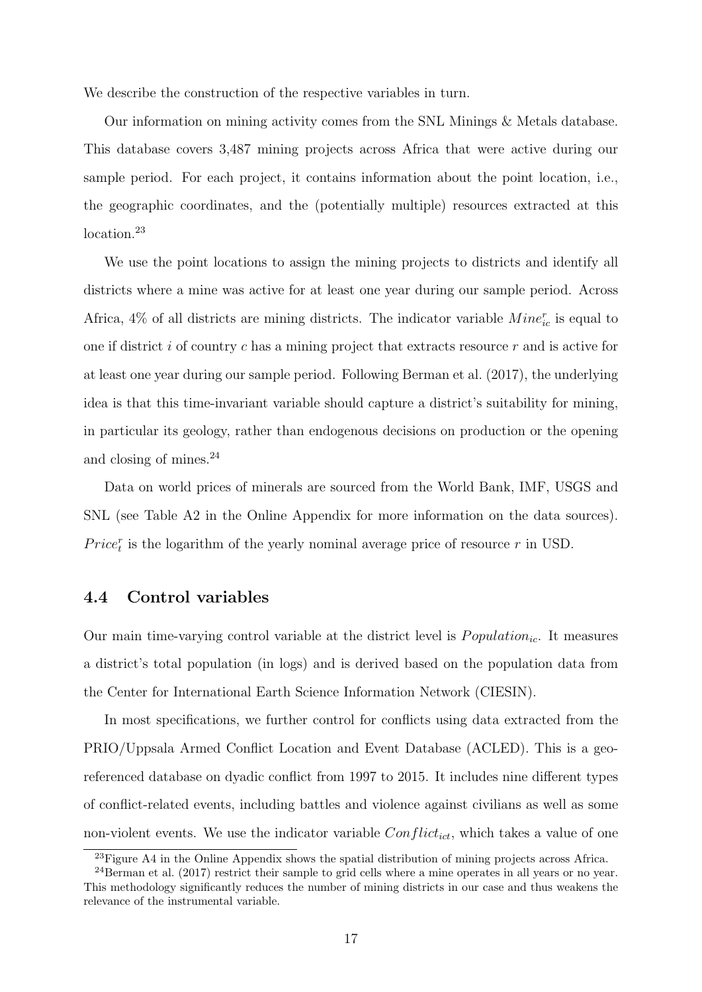We describe the construction of the respective variables in turn.

Our information on mining activity comes from the SNL Minings & Metals database. This database covers 3,487 mining projects across Africa that were active during our sample period. For each project, it contains information about the point location, i.e., the geographic coordinates, and the (potentially multiple) resources extracted at this location.<sup>23</sup>

We use the point locations to assign the mining projects to districts and identify all districts where a mine was active for at least one year during our sample period. Across Africa,  $4\%$  of all districts are mining districts. The indicator variable  $Min_{ic}^{r}$  is equal to one if district i of country c has a mining project that extracts resource  $r$  and is active for at least one year during our sample period. Following Berman et al. (2017), the underlying idea is that this time-invariant variable should capture a district's suitability for mining, in particular its geology, rather than endogenous decisions on production or the opening and closing of mines.<sup>24</sup>

Data on world prices of minerals are sourced from the World Bank, IMF, USGS and SNL (see Table A2 in the Online Appendix for more information on the data sources).  $Price<sub>t</sub><sup>r</sup>$  is the logarithm of the yearly nominal average price of resource r in USD.

## 4.4 Control variables

Our main time-varying control variable at the district level is  $Population_{ic}$ . It measures a district's total population (in logs) and is derived based on the population data from the Center for International Earth Science Information Network (CIESIN).

In most specifications, we further control for conflicts using data extracted from the PRIO/Uppsala Armed Conflict Location and Event Database (ACLED). This is a georeferenced database on dyadic conflict from 1997 to 2015. It includes nine different types of conflict-related events, including battles and violence against civilians as well as some non-violent events. We use the indicator variable  $Conflict_{ict}$ , which takes a value of one

<sup>&</sup>lt;sup>23</sup>Figure A4 in the Online Appendix shows the spatial distribution of mining projects across Africa.

<sup>24</sup>Berman et al. (2017) restrict their sample to grid cells where a mine operates in all years or no year. This methodology significantly reduces the number of mining districts in our case and thus weakens the relevance of the instrumental variable.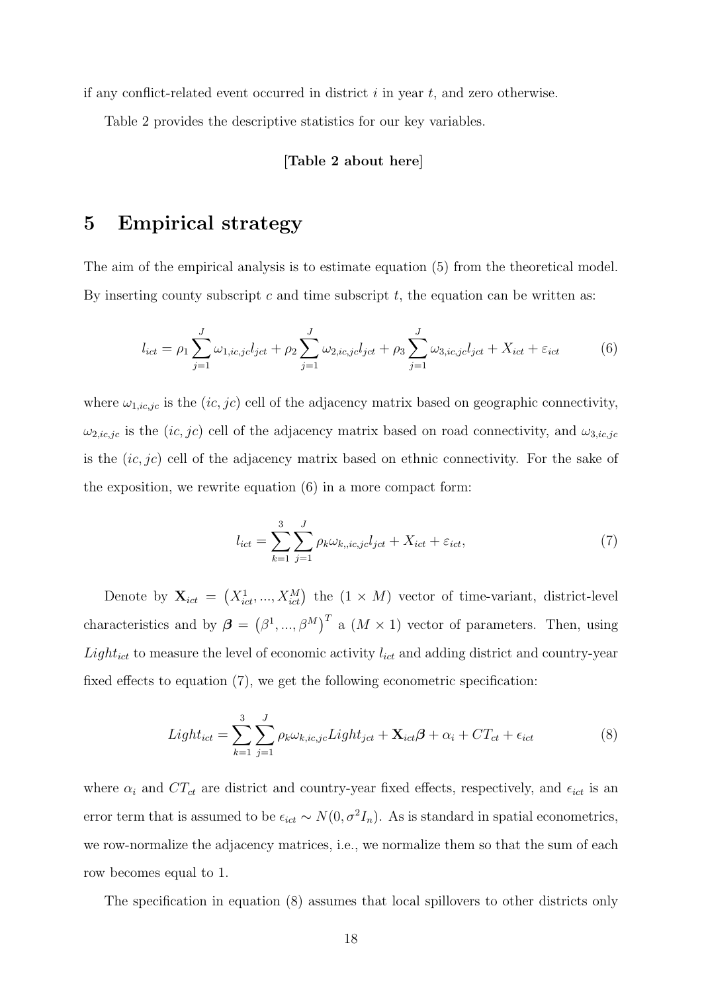if any conflict-related event occurred in district  $i$  in year  $t$ , and zero otherwise.

Table 2 provides the descriptive statistics for our key variables.

## [Table 2 about here]

# 5 Empirical strategy

The aim of the empirical analysis is to estimate equation (5) from the theoretical model. By inserting county subscript  $c$  and time subscript  $t$ , the equation can be written as:

$$
l_{ict} = \rho_1 \sum_{j=1}^{J} \omega_{1, ic, jc} l_{jct} + \rho_2 \sum_{j=1}^{J} \omega_{2, ic, jc} l_{jct} + \rho_3 \sum_{j=1}^{J} \omega_{3, ic, jc} l_{jct} + X_{ict} + \varepsilon_{ict}
$$
(6)

where  $\omega_{1,ic,jc}$  is the  $(ic, jc)$  cell of the adjacency matrix based on geographic connectivity,  $\omega_{2,ic,jc}$  is the  $(ic,jc)$  cell of the adjacency matrix based on road connectivity, and  $\omega_{3,ic,jc}$ is the  $(ic, ic)$  cell of the adjacency matrix based on ethnic connectivity. For the sake of the exposition, we rewrite equation (6) in a more compact form:

$$
l_{ict} = \sum_{k=1}^{3} \sum_{j=1}^{J} \rho_k \omega_{k, i c, j c} l_{jct} + X_{ict} + \varepsilon_{ict},\tag{7}
$$

Denote by  $\mathbf{X}_{ict} = (X_{ict}^1, ..., X_{ict}^M)$  the  $(1 \times M)$  vector of time-variant, district-level characteristics and by  $\boldsymbol{\beta} = (\beta^1, ..., \beta^M)^T$  a  $(M \times 1)$  vector of parameters. Then, using  $Light_{ict}$  to measure the level of economic activity  $l_{ict}$  and adding district and country-year fixed effects to equation (7), we get the following econometric specification:

$$
Light_{ict} = \sum_{k=1}^{3} \sum_{j=1}^{J} \rho_k \omega_{k, ic, jc} Light_{ict} + \mathbf{X}_{ict} \boldsymbol{\beta} + \alpha_i + CT_{ct} + \epsilon_{ict}
$$
\n(8)

where  $\alpha_i$  and  $CT_{ct}$  are district and country-year fixed effects, respectively, and  $\epsilon_{ict}$  is an error term that is assumed to be  $\epsilon_{ict} \sim N(0, \sigma^2 I_n)$ . As is standard in spatial econometrics, we row-normalize the adjacency matrices, i.e., we normalize them so that the sum of each row becomes equal to 1.

The specification in equation (8) assumes that local spillovers to other districts only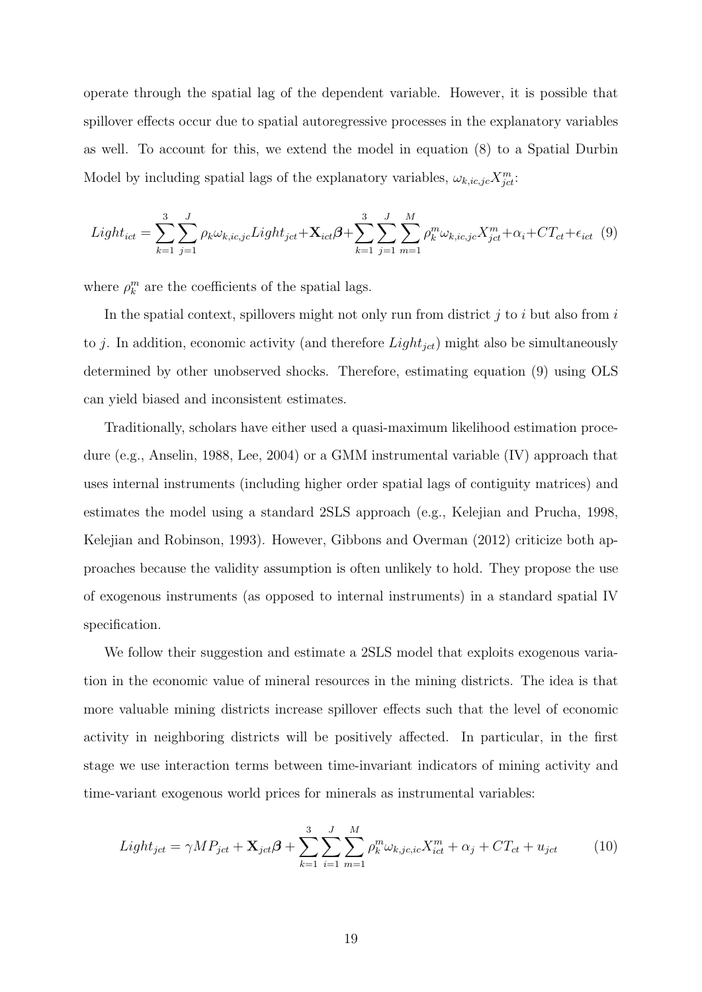operate through the spatial lag of the dependent variable. However, it is possible that spillover effects occur due to spatial autoregressive processes in the explanatory variables as well. To account for this, we extend the model in equation (8) to a Spatial Durbin Model by including spatial lags of the explanatory variables,  $\omega_{k, ic, jc} X_{jet}^m$ :

$$
Light_{ict} = \sum_{k=1}^{3} \sum_{j=1}^{J} \rho_k \omega_{k, ic, jc} Light_{jet} + \mathbf{X}_{ict} \boldsymbol{\beta} + \sum_{k=1}^{3} \sum_{j=1}^{J} \sum_{m=1}^{M} \rho_k^{m} \omega_{k, ic, jc} X_{jet}^{m} + \alpha_i + CT_{ct} + \epsilon_{ict} \tag{9}
$$

where  $\rho_k^m$  are the coefficients of the spatial lags.

In the spatial context, spillovers might not only run from district  $j$  to  $i$  but also from  $i$ to j. In addition, economic activity (and therefore  $Light_{jet}$ ) might also be simultaneously determined by other unobserved shocks. Therefore, estimating equation (9) using OLS can yield biased and inconsistent estimates.

Traditionally, scholars have either used a quasi-maximum likelihood estimation procedure (e.g., Anselin, 1988, Lee, 2004) or a GMM instrumental variable (IV) approach that uses internal instruments (including higher order spatial lags of contiguity matrices) and estimates the model using a standard 2SLS approach (e.g., Kelejian and Prucha, 1998, Kelejian and Robinson, 1993). However, Gibbons and Overman (2012) criticize both approaches because the validity assumption is often unlikely to hold. They propose the use of exogenous instruments (as opposed to internal instruments) in a standard spatial IV specification.

We follow their suggestion and estimate a 2SLS model that exploits exogenous variation in the economic value of mineral resources in the mining districts. The idea is that more valuable mining districts increase spillover effects such that the level of economic activity in neighboring districts will be positively affected. In particular, in the first stage we use interaction terms between time-invariant indicators of mining activity and time-variant exogenous world prices for minerals as instrumental variables:

$$
Light_{jet} = \gamma MP_{jet} + \mathbf{X}_{jet}\boldsymbol{\beta} + \sum_{k=1}^{3} \sum_{i=1}^{J} \sum_{m=1}^{M} \rho_k^m \omega_{k,jc,ic} X_{ict}^m + \alpha_j + CT_{ct} + u_{jet}
$$
 (10)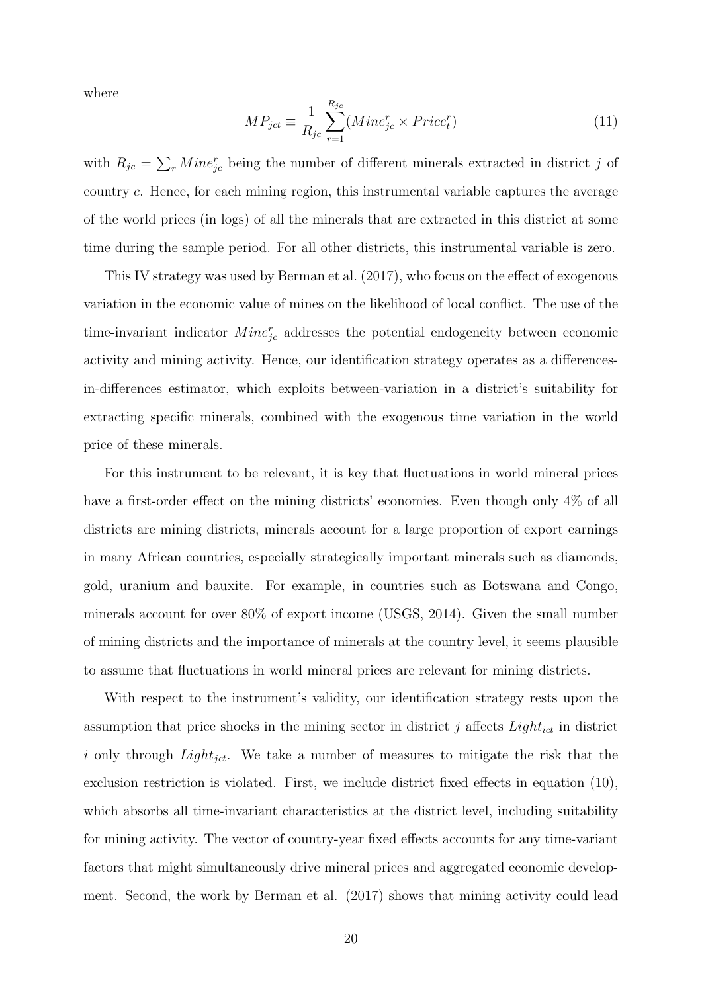where

$$
MP_{ict} \equiv \frac{1}{R_{jc}} \sum_{r=1}^{R_{jc}} (Mine_{jc}^r \times Price_t^r)
$$
 (11)

with  $R_{jc} = \sum_{r} Min e_{jc}^{r}$  being the number of different minerals extracted in district j of country c. Hence, for each mining region, this instrumental variable captures the average of the world prices (in logs) of all the minerals that are extracted in this district at some time during the sample period. For all other districts, this instrumental variable is zero.

This IV strategy was used by Berman et al. (2017), who focus on the effect of exogenous variation in the economic value of mines on the likelihood of local conflict. The use of the time-invariant indicator  $Min_{j_c}^{r}$  addresses the potential endogeneity between economic activity and mining activity. Hence, our identification strategy operates as a differencesin-differences estimator, which exploits between-variation in a district's suitability for extracting specific minerals, combined with the exogenous time variation in the world price of these minerals.

For this instrument to be relevant, it is key that fluctuations in world mineral prices have a first-order effect on the mining districts' economies. Even though only 4% of all districts are mining districts, minerals account for a large proportion of export earnings in many African countries, especially strategically important minerals such as diamonds, gold, uranium and bauxite. For example, in countries such as Botswana and Congo, minerals account for over 80% of export income (USGS, 2014). Given the small number of mining districts and the importance of minerals at the country level, it seems plausible to assume that fluctuations in world mineral prices are relevant for mining districts.

With respect to the instrument's validity, our identification strategy rests upon the assumption that price shocks in the mining sector in district j affects  $Light_{ict}$  in district i only through  $Light_{jet}$ . We take a number of measures to mitigate the risk that the exclusion restriction is violated. First, we include district fixed effects in equation (10), which absorbs all time-invariant characteristics at the district level, including suitability for mining activity. The vector of country-year fixed effects accounts for any time-variant factors that might simultaneously drive mineral prices and aggregated economic development. Second, the work by Berman et al. (2017) shows that mining activity could lead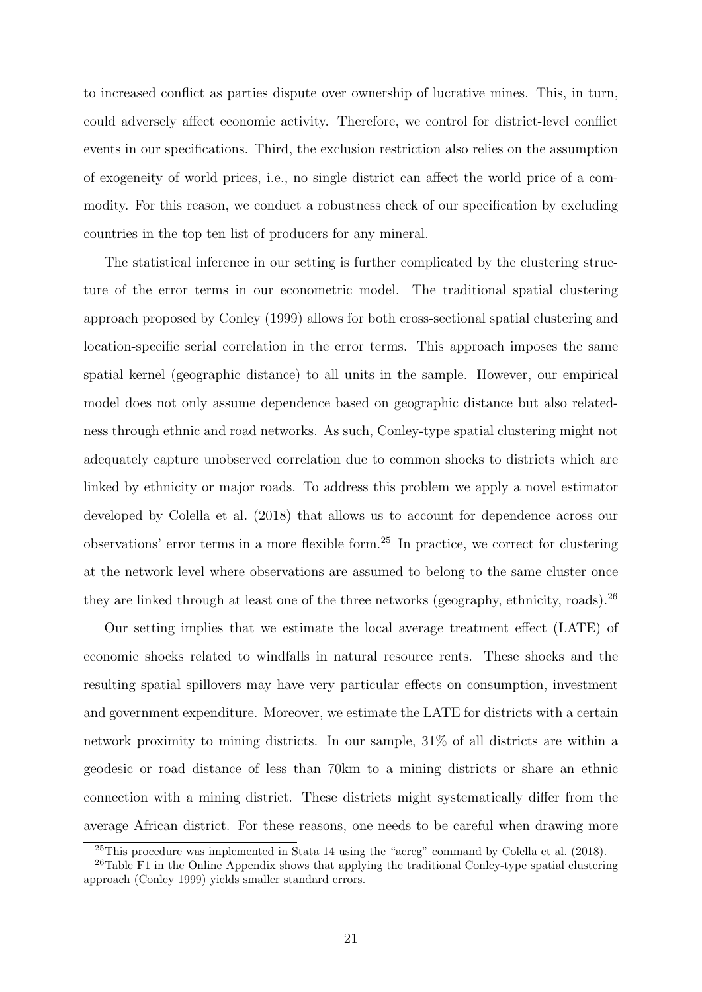to increased conflict as parties dispute over ownership of lucrative mines. This, in turn, could adversely affect economic activity. Therefore, we control for district-level conflict events in our specifications. Third, the exclusion restriction also relies on the assumption of exogeneity of world prices, i.e., no single district can affect the world price of a commodity. For this reason, we conduct a robustness check of our specification by excluding countries in the top ten list of producers for any mineral.

The statistical inference in our setting is further complicated by the clustering structure of the error terms in our econometric model. The traditional spatial clustering approach proposed by Conley (1999) allows for both cross-sectional spatial clustering and location-specific serial correlation in the error terms. This approach imposes the same spatial kernel (geographic distance) to all units in the sample. However, our empirical model does not only assume dependence based on geographic distance but also relatedness through ethnic and road networks. As such, Conley-type spatial clustering might not adequately capture unobserved correlation due to common shocks to districts which are linked by ethnicity or major roads. To address this problem we apply a novel estimator developed by Colella et al. (2018) that allows us to account for dependence across our observations' error terms in a more flexible form.<sup>25</sup> In practice, we correct for clustering at the network level where observations are assumed to belong to the same cluster once they are linked through at least one of the three networks (geography, ethnicity, roads).<sup>26</sup>

Our setting implies that we estimate the local average treatment effect (LATE) of economic shocks related to windfalls in natural resource rents. These shocks and the resulting spatial spillovers may have very particular effects on consumption, investment and government expenditure. Moreover, we estimate the LATE for districts with a certain network proximity to mining districts. In our sample, 31% of all districts are within a geodesic or road distance of less than 70km to a mining districts or share an ethnic connection with a mining district. These districts might systematically differ from the average African district. For these reasons, one needs to be careful when drawing more

<sup>25</sup>This procedure was implemented in Stata 14 using the "acreg" command by Colella et al. (2018).

 $26$ Table F1 in the Online Appendix shows that applying the traditional Conley-type spatial clustering approach (Conley 1999) yields smaller standard errors.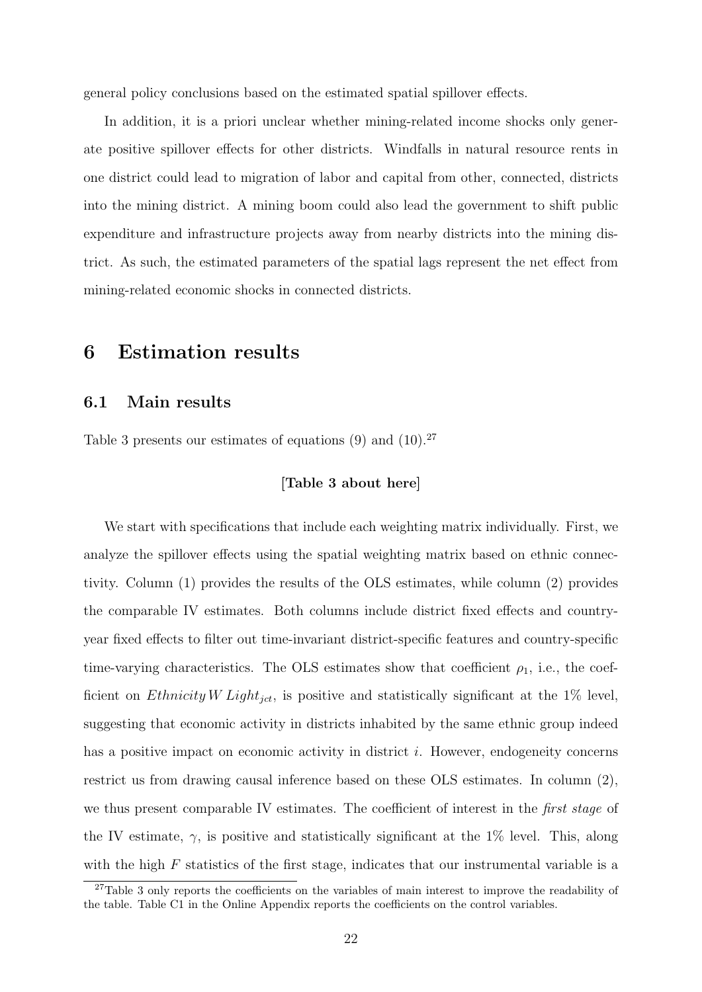general policy conclusions based on the estimated spatial spillover effects.

In addition, it is a priori unclear whether mining-related income shocks only generate positive spillover effects for other districts. Windfalls in natural resource rents in one district could lead to migration of labor and capital from other, connected, districts into the mining district. A mining boom could also lead the government to shift public expenditure and infrastructure projects away from nearby districts into the mining district. As such, the estimated parameters of the spatial lags represent the net effect from mining-related economic shocks in connected districts.

# 6 Estimation results

## 6.1 Main results

Table 3 presents our estimates of equations  $(9)$  and  $(10).^{27}$ 

### [Table 3 about here]

We start with specifications that include each weighting matrix individually. First, we analyze the spillover effects using the spatial weighting matrix based on ethnic connectivity. Column (1) provides the results of the OLS estimates, while column (2) provides the comparable IV estimates. Both columns include district fixed effects and countryyear fixed effects to filter out time-invariant district-specific features and country-specific time-varying characteristics. The OLS estimates show that coefficient  $\rho_1$ , i.e., the coefficient on *Ethnicity W Light<sub>jct</sub>*, is positive and statistically significant at the 1% level, suggesting that economic activity in districts inhabited by the same ethnic group indeed has a positive impact on economic activity in district *i*. However, endogeneity concerns restrict us from drawing causal inference based on these OLS estimates. In column (2), we thus present comparable IV estimates. The coefficient of interest in the *first stage* of the IV estimate,  $\gamma$ , is positive and statistically significant at the 1% level. This, along with the high  $F$  statistics of the first stage, indicates that our instrumental variable is a

<sup>&</sup>lt;sup>27</sup>Table 3 only reports the coefficients on the variables of main interest to improve the readability of the table. Table C1 in the Online Appendix reports the coefficients on the control variables.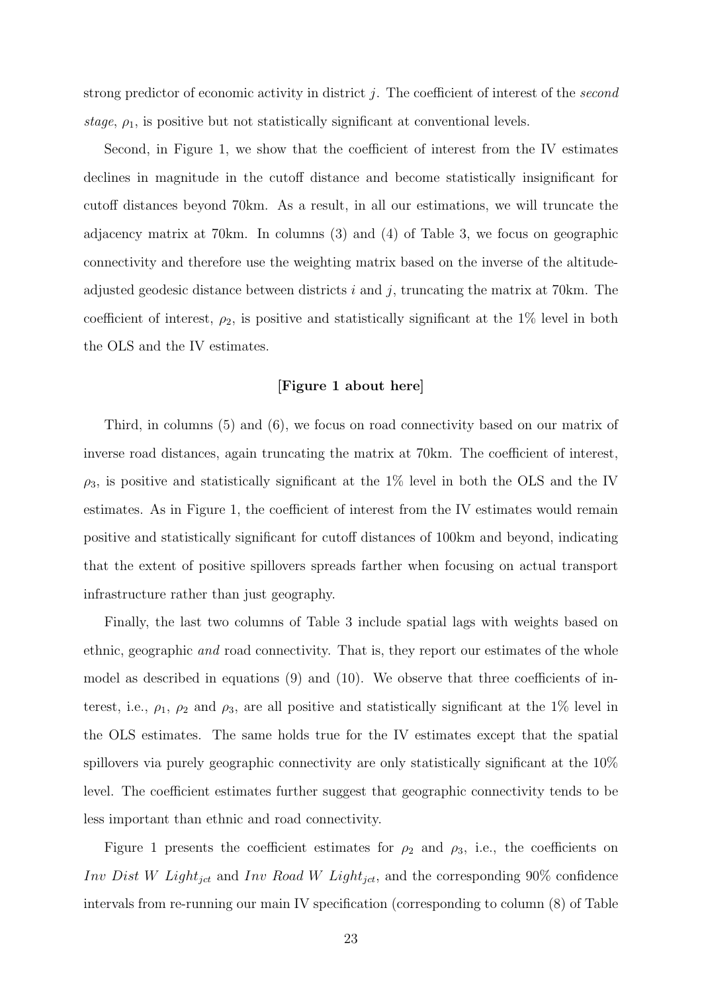strong predictor of economic activity in district  $j$ . The coefficient of interest of the second stage,  $\rho_1$ , is positive but not statistically significant at conventional levels.

Second, in Figure 1, we show that the coefficient of interest from the IV estimates declines in magnitude in the cutoff distance and become statistically insignificant for cutoff distances beyond 70km. As a result, in all our estimations, we will truncate the adjacency matrix at 70km. In columns (3) and (4) of Table 3, we focus on geographic connectivity and therefore use the weighting matrix based on the inverse of the altitudeadjusted geodesic distance between districts  $i$  and  $j$ , truncating the matrix at 70km. The coefficient of interest,  $\rho_2$ , is positive and statistically significant at the 1% level in both the OLS and the IV estimates.

#### [Figure 1 about here]

Third, in columns (5) and (6), we focus on road connectivity based on our matrix of inverse road distances, again truncating the matrix at 70km. The coefficient of interest,  $\rho_3$ , is positive and statistically significant at the 1% level in both the OLS and the IV estimates. As in Figure 1, the coefficient of interest from the IV estimates would remain positive and statistically significant for cutoff distances of 100km and beyond, indicating that the extent of positive spillovers spreads farther when focusing on actual transport infrastructure rather than just geography.

Finally, the last two columns of Table 3 include spatial lags with weights based on ethnic, geographic and road connectivity. That is, they report our estimates of the whole model as described in equations (9) and (10). We observe that three coefficients of interest, i.e.,  $\rho_1$ ,  $\rho_2$  and  $\rho_3$ , are all positive and statistically significant at the 1% level in the OLS estimates. The same holds true for the IV estimates except that the spatial spillovers via purely geographic connectivity are only statistically significant at the 10% level. The coefficient estimates further suggest that geographic connectivity tends to be less important than ethnic and road connectivity.

Figure 1 presents the coefficient estimates for  $\rho_2$  and  $\rho_3$ , i.e., the coefficients on Inv Dist W Light<sub>jct</sub> and Inv Road W Light<sub>jct</sub>, and the corresponding 90% confidence intervals from re-running our main IV specification (corresponding to column (8) of Table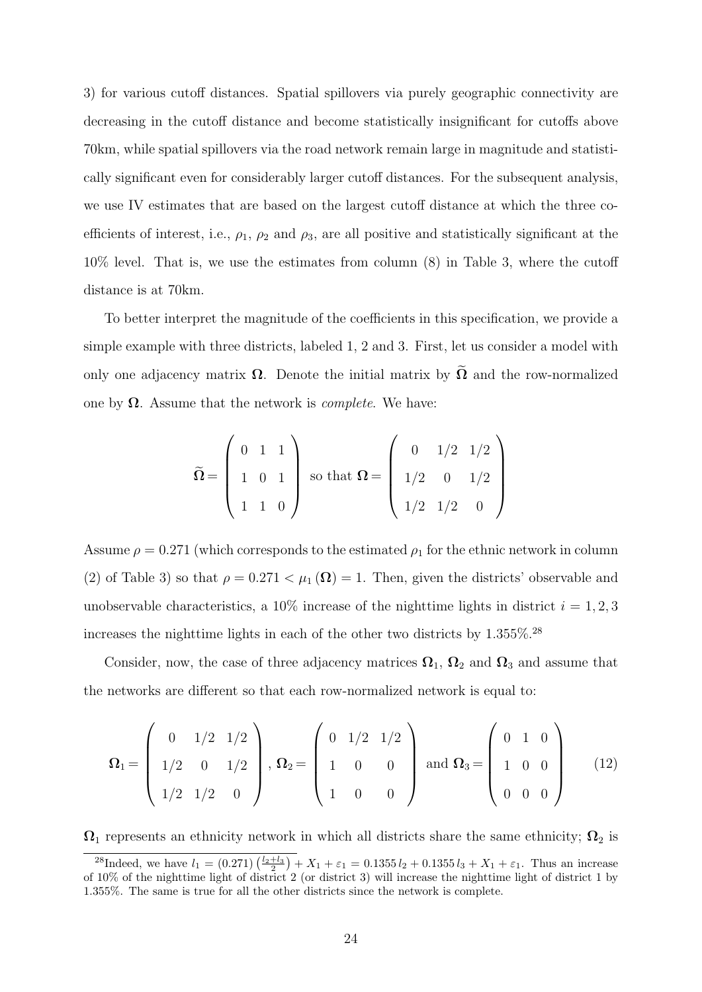3) for various cutoff distances. Spatial spillovers via purely geographic connectivity are decreasing in the cutoff distance and become statistically insignificant for cutoffs above 70km, while spatial spillovers via the road network remain large in magnitude and statistically significant even for considerably larger cutoff distances. For the subsequent analysis, we use IV estimates that are based on the largest cutoff distance at which the three coefficients of interest, i.e.,  $\rho_1$ ,  $\rho_2$  and  $\rho_3$ , are all positive and statistically significant at the 10% level. That is, we use the estimates from column (8) in Table 3, where the cutoff distance is at 70km.

To better interpret the magnitude of the coefficients in this specification, we provide a simple example with three districts, labeled 1, 2 and 3. First, let us consider a model with only one adjacency matrix  $\Omega$ . Denote the initial matrix by  $\tilde{\Omega}$  and the row-normalized one by  $\Omega$ . Assume that the network is *complete*. We have:

$$
\widetilde{\Omega} = \left( \begin{array}{ccc} 0 & 1 & 1 \\ 1 & 0 & 1 \\ 1 & 1 & 0 \end{array} \right) \text{ so that } \Omega = \left( \begin{array}{ccc} 0 & 1/2 & 1/2 \\ 1/2 & 0 & 1/2 \\ 1/2 & 1/2 & 0 \end{array} \right)
$$

Assume  $\rho = 0.271$  (which corresponds to the estimated  $\rho_1$  for the ethnic network in column (2) of Table 3) so that  $\rho = 0.271 < \mu_1(\Omega) = 1$ . Then, given the districts' observable and unobservable characteristics, a 10% increase of the nighttime lights in district  $i = 1, 2, 3$ increases the nighttime lights in each of the other two districts by 1.355%.<sup>28</sup>

Consider, now, the case of three adjacency matrices  $\Omega_1$ ,  $\Omega_2$  and  $\Omega_3$  and assume that the networks are different so that each row-normalized network is equal to:

$$
\mathbf{\Omega}_{1} = \left(\begin{array}{ccc} 0 & 1/2 & 1/2 \\ 1/2 & 0 & 1/2 \\ 1/2 & 1/2 & 0 \end{array}\right), \ \mathbf{\Omega}_{2} = \left(\begin{array}{ccc} 0 & 1/2 & 1/2 \\ 1 & 0 & 0 \\ 1 & 0 & 0 \end{array}\right) \text{ and } \mathbf{\Omega}_{3} = \left(\begin{array}{ccc} 0 & 1 & 0 \\ 1 & 0 & 0 \\ 0 & 0 & 0 \end{array}\right) \tag{12}
$$

 $\Omega_1$  represents an ethnicity network in which all districts share the same ethnicity;  $\Omega_2$  is

<sup>&</sup>lt;sup>28</sup>Indeed, we have  $l_1 = (0.271) \left( \frac{l_2 + l_3}{2} \right) + X_1 + \varepsilon_1 = 0.1355 l_2 + 0.1355 l_3 + X_1 + \varepsilon_1$ . Thus an increase of 10% of the nighttime light of district 2 (or district 3) will increase the nighttime light of district 1 by 1.355%. The same is true for all the other districts since the network is complete.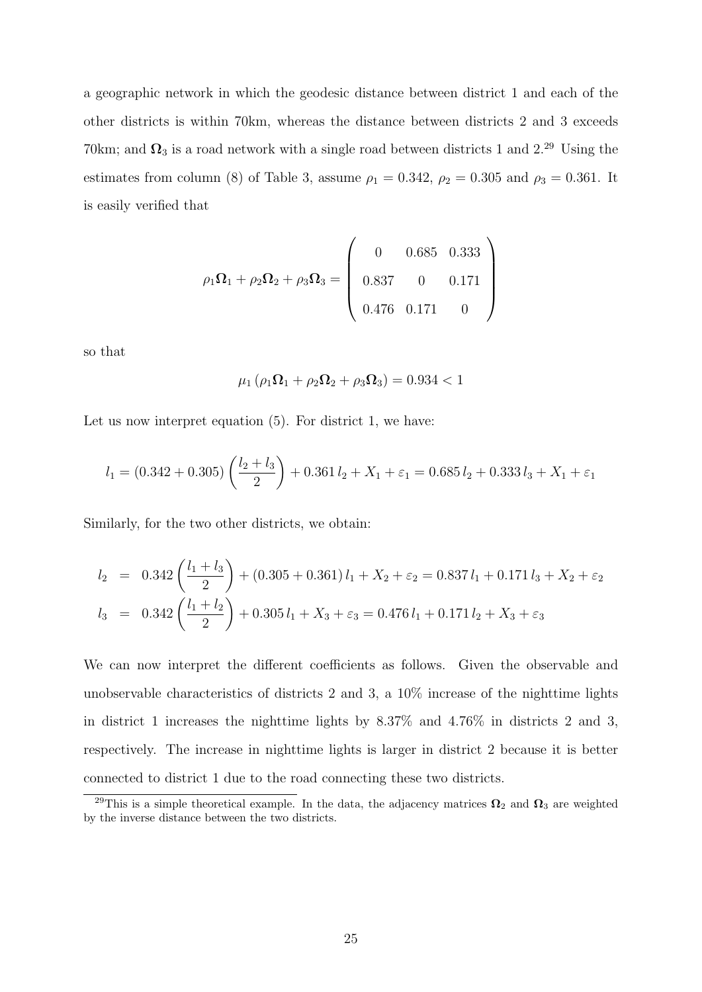a geographic network in which the geodesic distance between district 1 and each of the other districts is within 70km, whereas the distance between districts 2 and 3 exceeds 70km; and  $\Omega_3$  is a road network with a single road between districts 1 and 2.<sup>29</sup> Using the estimates from column (8) of Table 3, assume  $\rho_1 = 0.342$ ,  $\rho_2 = 0.305$  and  $\rho_3 = 0.361$ . It is easily verified that

$$
\rho_1 \Omega_1 + \rho_2 \Omega_2 + \rho_3 \Omega_3 = \begin{pmatrix} 0 & 0.685 & 0.333 \\ 0.837 & 0 & 0.171 \\ 0.476 & 0.171 & 0 \end{pmatrix}
$$

so that

$$
\mu_1 \left( \rho_1 \mathbf{\Omega}_1 + \rho_2 \mathbf{\Omega}_2 + \rho_3 \mathbf{\Omega}_3 \right) = 0.934 < 1
$$

Let us now interpret equation (5). For district 1, we have:

$$
l_1 = (0.342 + 0.305) \left(\frac{l_2 + l_3}{2}\right) + 0.361 l_2 + X_1 + \varepsilon_1 = 0.685 l_2 + 0.333 l_3 + X_1 + \varepsilon_1
$$

Similarly, for the two other districts, we obtain:

$$
l_2 = 0.342 \left(\frac{l_1 + l_3}{2}\right) + (0.305 + 0.361) l_1 + X_2 + \varepsilon_2 = 0.837 l_1 + 0.171 l_3 + X_2 + \varepsilon_2
$$
  

$$
l_3 = 0.342 \left(\frac{l_1 + l_2}{2}\right) + 0.305 l_1 + X_3 + \varepsilon_3 = 0.476 l_1 + 0.171 l_2 + X_3 + \varepsilon_3
$$

We can now interpret the different coefficients as follows. Given the observable and unobservable characteristics of districts 2 and 3, a 10% increase of the nighttime lights in district 1 increases the nighttime lights by 8.37% and 4.76% in districts 2 and 3, respectively. The increase in nighttime lights is larger in district 2 because it is better connected to district 1 due to the road connecting these two districts.

<sup>&</sup>lt;sup>29</sup>This is a simple theoretical example. In the data, the adjacency matrices  $\Omega_2$  and  $\Omega_3$  are weighted by the inverse distance between the two districts.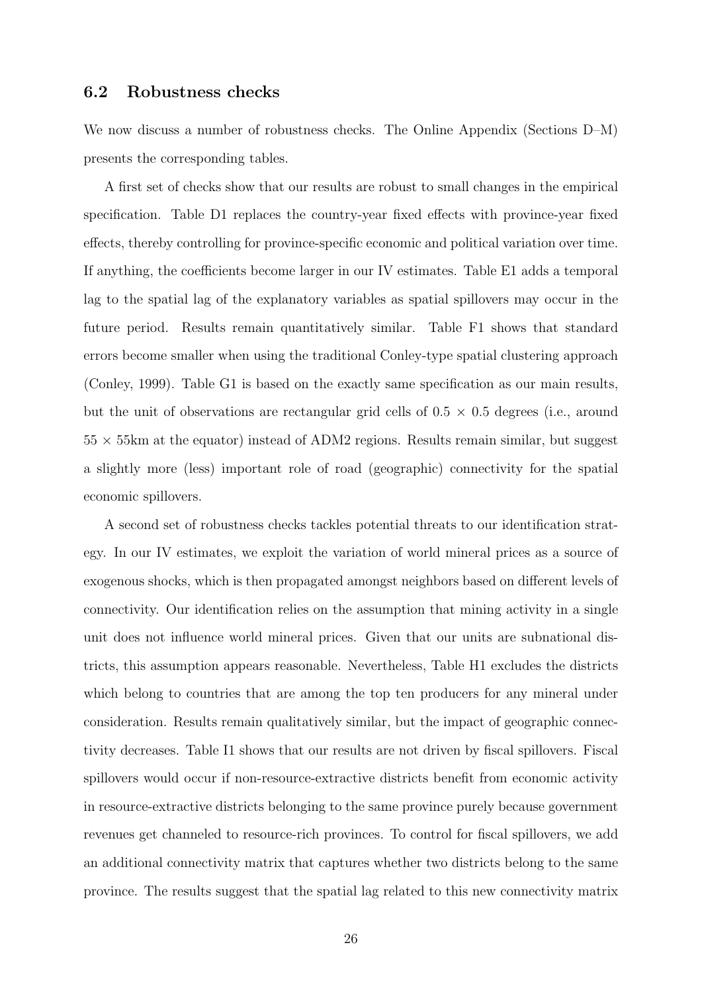# 6.2 Robustness checks

We now discuss a number of robustness checks. The Online Appendix (Sections D–M) presents the corresponding tables.

A first set of checks show that our results are robust to small changes in the empirical specification. Table D1 replaces the country-year fixed effects with province-year fixed effects, thereby controlling for province-specific economic and political variation over time. If anything, the coefficients become larger in our IV estimates. Table E1 adds a temporal lag to the spatial lag of the explanatory variables as spatial spillovers may occur in the future period. Results remain quantitatively similar. Table F1 shows that standard errors become smaller when using the traditional Conley-type spatial clustering approach (Conley, 1999). Table G1 is based on the exactly same specification as our main results, but the unit of observations are rectangular grid cells of  $0.5 \times 0.5$  degrees (i.e., around  $55 \times 55$  km at the equator) instead of ADM2 regions. Results remain similar, but suggest a slightly more (less) important role of road (geographic) connectivity for the spatial economic spillovers.

A second set of robustness checks tackles potential threats to our identification strategy. In our IV estimates, we exploit the variation of world mineral prices as a source of exogenous shocks, which is then propagated amongst neighbors based on different levels of connectivity. Our identification relies on the assumption that mining activity in a single unit does not influence world mineral prices. Given that our units are subnational districts, this assumption appears reasonable. Nevertheless, Table H1 excludes the districts which belong to countries that are among the top ten producers for any mineral under consideration. Results remain qualitatively similar, but the impact of geographic connectivity decreases. Table I1 shows that our results are not driven by fiscal spillovers. Fiscal spillovers would occur if non-resource-extractive districts benefit from economic activity in resource-extractive districts belonging to the same province purely because government revenues get channeled to resource-rich provinces. To control for fiscal spillovers, we add an additional connectivity matrix that captures whether two districts belong to the same province. The results suggest that the spatial lag related to this new connectivity matrix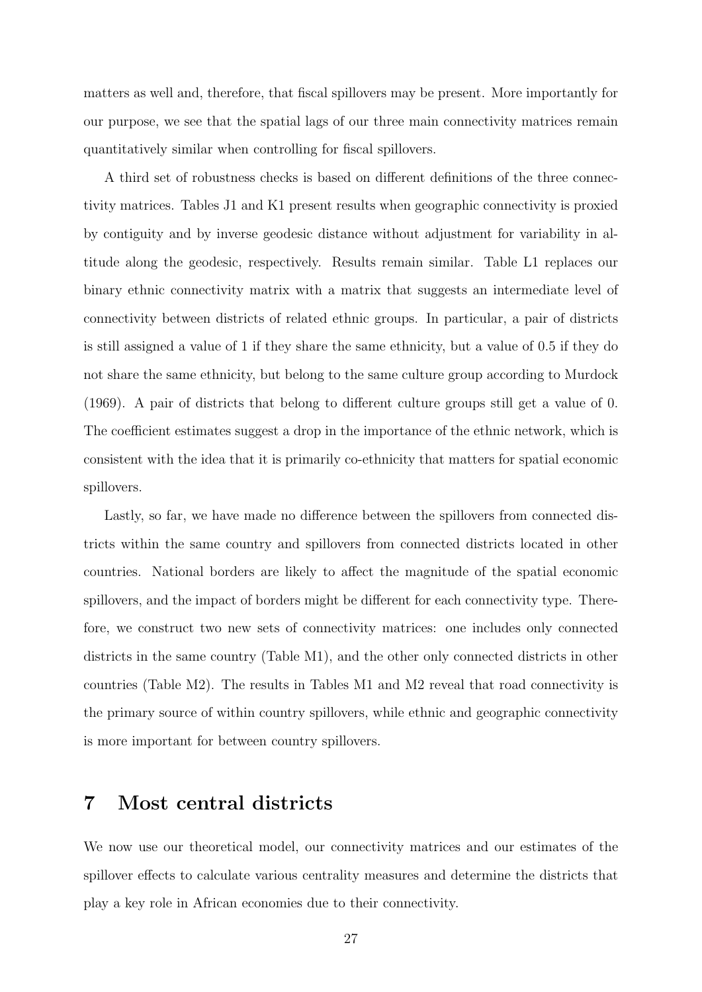matters as well and, therefore, that fiscal spillovers may be present. More importantly for our purpose, we see that the spatial lags of our three main connectivity matrices remain quantitatively similar when controlling for fiscal spillovers.

A third set of robustness checks is based on different definitions of the three connectivity matrices. Tables J1 and K1 present results when geographic connectivity is proxied by contiguity and by inverse geodesic distance without adjustment for variability in altitude along the geodesic, respectively. Results remain similar. Table L1 replaces our binary ethnic connectivity matrix with a matrix that suggests an intermediate level of connectivity between districts of related ethnic groups. In particular, a pair of districts is still assigned a value of 1 if they share the same ethnicity, but a value of 0.5 if they do not share the same ethnicity, but belong to the same culture group according to Murdock (1969). A pair of districts that belong to different culture groups still get a value of 0. The coefficient estimates suggest a drop in the importance of the ethnic network, which is consistent with the idea that it is primarily co-ethnicity that matters for spatial economic spillovers.

Lastly, so far, we have made no difference between the spillovers from connected districts within the same country and spillovers from connected districts located in other countries. National borders are likely to affect the magnitude of the spatial economic spillovers, and the impact of borders might be different for each connectivity type. Therefore, we construct two new sets of connectivity matrices: one includes only connected districts in the same country (Table M1), and the other only connected districts in other countries (Table M2). The results in Tables M1 and M2 reveal that road connectivity is the primary source of within country spillovers, while ethnic and geographic connectivity is more important for between country spillovers.

# 7 Most central districts

We now use our theoretical model, our connectivity matrices and our estimates of the spillover effects to calculate various centrality measures and determine the districts that play a key role in African economies due to their connectivity.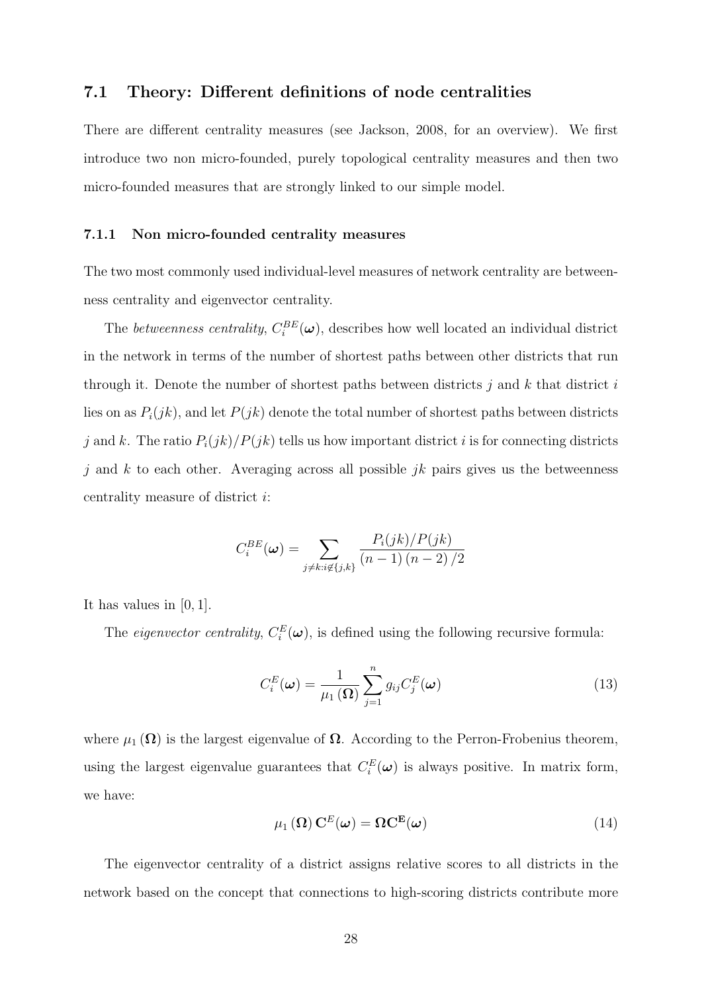# 7.1 Theory: Different definitions of node centralities

There are different centrality measures (see Jackson, 2008, for an overview). We first introduce two non micro-founded, purely topological centrality measures and then two micro-founded measures that are strongly linked to our simple model.

#### 7.1.1 Non micro-founded centrality measures

The two most commonly used individual-level measures of network centrality are betweenness centrality and eigenvector centrality.

The *betweenness centrality*,  $C_i^{BE}(\boldsymbol{\omega})$ , describes how well located an individual district in the network in terms of the number of shortest paths between other districts that run through it. Denote the number of shortest paths between districts  $j$  and  $k$  that district  $i$ lies on as  $P_i(jk)$ , and let  $P(jk)$  denote the total number of shortest paths between districts j and k. The ratio  $P_i(jk)/P(jk)$  tells us how important district i is for connecting districts j and k to each other. Averaging across all possible jk pairs gives us the betweenness centrality measure of district i:

$$
C_i^{BE}(\boldsymbol{\omega}) = \sum_{j \neq k: i \notin \{j,k\}} \frac{P_i(jk)/P(jk)}{(n-1)(n-2)/2}
$$

It has values in [0, 1].

The *eigenvector centrality*,  $C_i^E(\boldsymbol{\omega})$ , is defined using the following recursive formula:

$$
C_i^{E}(\boldsymbol{\omega}) = \frac{1}{\mu_1(\Omega)} \sum_{j=1}^n g_{ij} C_j^{E}(\boldsymbol{\omega})
$$
\n(13)

where  $\mu_1(\Omega)$  is the largest eigenvalue of  $\Omega$ . According to the Perron-Frobenius theorem, using the largest eigenvalue guarantees that  $C_i^E(\boldsymbol{\omega})$  is always positive. In matrix form, we have:

$$
\mu_1(\Omega) \mathbf{C}^E(\boldsymbol{\omega}) = \Omega \mathbf{C}^{\mathbf{E}}(\boldsymbol{\omega})
$$
\n(14)

The eigenvector centrality of a district assigns relative scores to all districts in the network based on the concept that connections to high-scoring districts contribute more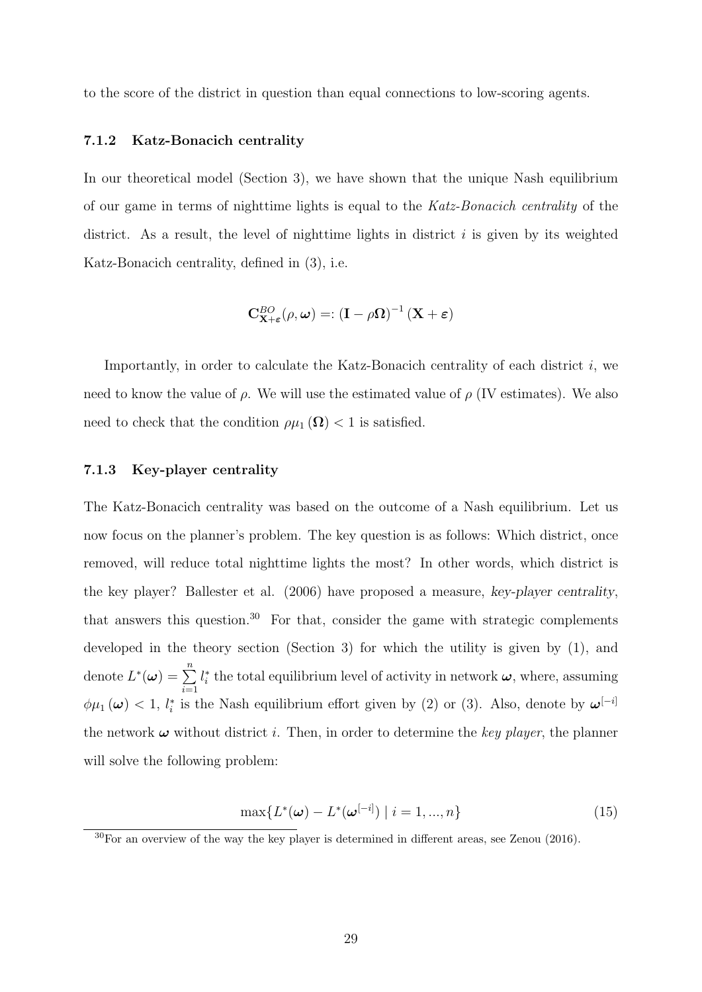to the score of the district in question than equal connections to low-scoring agents.

#### 7.1.2 Katz-Bonacich centrality

In our theoretical model (Section 3), we have shown that the unique Nash equilibrium of our game in terms of nighttime lights is equal to the Katz-Bonacich centrality of the district. As a result, the level of nighttime lights in district  $i$  is given by its weighted Katz-Bonacich centrality, defined in (3), i.e.

$$
\mathbf{C}^{BO}_{\mathbf{X}+\boldsymbol{\varepsilon}}(\rho,\boldsymbol{\omega}) =: \left(\mathbf{I} - \rho \boldsymbol{\Omega}\right)^{-1} \left(\mathbf{X} + \boldsymbol{\varepsilon}\right)
$$

Importantly, in order to calculate the Katz-Bonacich centrality of each district  $i$ , we need to know the value of  $\rho$ . We will use the estimated value of  $\rho$  (IV estimates). We also need to check that the condition  $\rho\mu_1(\mathbf{\Omega}) < 1$  is satisfied.

#### 7.1.3 Key-player centrality

The Katz-Bonacich centrality was based on the outcome of a Nash equilibrium. Let us now focus on the planner's problem. The key question is as follows: Which district, once removed, will reduce total nighttime lights the most? In other words, which district is the key player? Ballester et al. (2006) have proposed a measure, key-player centrality, that answers this question.<sup>30</sup> For that, consider the game with strategic complements developed in the theory section (Section 3) for which the utility is given by (1), and denote  $L^*(\boldsymbol{\omega}) = \sum_{n=1}^{\infty}$  $i=1$  $l_i^*$  the total equilibrium level of activity in network  $\boldsymbol{\omega},$  where, assuming  $\phi\mu_1(\omega)$  < 1,  $l_i^*$  is the Nash equilibrium effort given by (2) or (3). Also, denote by  $\omega^{[-i]}$ the network  $\omega$  without district *i*. Then, in order to determine the key player, the planner will solve the following problem:

$$
\max\{L^*(\boldsymbol{\omega}) - L^*(\boldsymbol{\omega}^{[-i]}) \mid i = 1, ..., n\}
$$
\n(15)

<sup>30</sup>For an overview of the way the key player is determined in different areas, see Zenou (2016).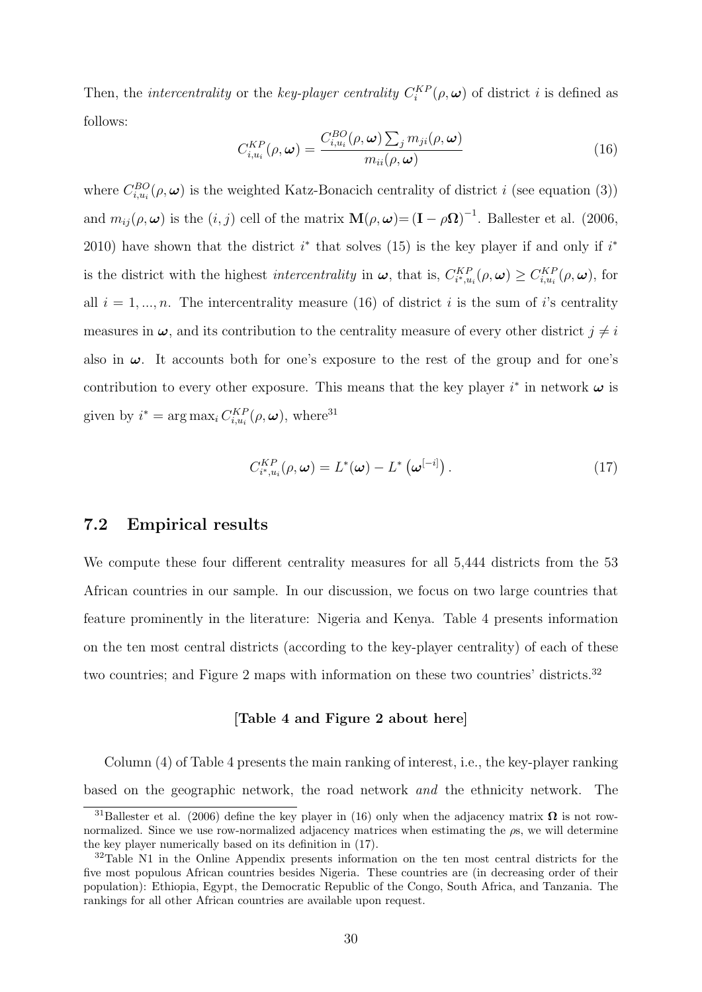Then, the *intercentrality* or the *key-player centrality*  $C_i^{KP}(\rho, \omega)$  of district *i* is defined as follows:

$$
C_{i,u_i}^{KP}(\rho,\omega) = \frac{C_{i,u_i}^{BO}(\rho,\omega) \sum_j m_{ji}(\rho,\omega)}{m_{ii}(\rho,\omega)}
$$
(16)

where  $C_{i,u_i}^{BO}(\rho,\omega)$  is the weighted Katz-Bonacich centrality of district i (see equation (3)) and  $m_{ij}(\rho,\omega)$  is the  $(i, j)$  cell of the matrix  $\mathbf{M}(\rho,\omega) = (\mathbf{I} - \rho \mathbf{\Omega})^{-1}$ . Ballester et al. (2006, 2010) have shown that the district  $i^*$  that solves (15) is the key player if and only if  $i^*$ is the district with the highest *intercentrality* in  $\boldsymbol{\omega}$ , that is,  $C_{i^*,u_i}^{KP}(\rho,\boldsymbol{\omega}) \ge C_{i,u_i}^{KP}(\rho,\boldsymbol{\omega})$ , for all  $i = 1, ..., n$ . The intercentrality measure (16) of district i is the sum of i's centrality measures in  $\omega$ , and its contribution to the centrality measure of every other district  $j \neq i$ also in  $\omega$ . It accounts both for one's exposure to the rest of the group and for one's contribution to every other exposure. This means that the key player  $i^*$  in network  $\omega$  is given by  $i^* = \arg \max_i C_{i,u_i}^{KP}(\rho, \omega)$ , where<sup>31</sup>

$$
C_{i^*,u_i}^{KP}(\rho,\omega) = L^*(\omega) - L^*\left(\omega^{[-i]}\right). \tag{17}
$$

## 7.2 Empirical results

We compute these four different centrality measures for all 5,444 districts from the 53 African countries in our sample. In our discussion, we focus on two large countries that feature prominently in the literature: Nigeria and Kenya. Table 4 presents information on the ten most central districts (according to the key-player centrality) of each of these two countries; and Figure 2 maps with information on these two countries' districts.<sup>32</sup>

#### [Table 4 and Figure 2 about here]

Column (4) of Table 4 presents the main ranking of interest, i.e., the key-player ranking based on the geographic network, the road network and the ethnicity network. The

<sup>&</sup>lt;sup>31</sup>Ballester et al. (2006) define the key player in (16) only when the adjacency matrix  $\Omega$  is not rownormalized. Since we use row-normalized adjacency matrices when estimating the  $\rho$ s, we will determine the key player numerically based on its definition in (17).

<sup>&</sup>lt;sup>32</sup>Table N1 in the Online Appendix presents information on the ten most central districts for the five most populous African countries besides Nigeria. These countries are (in decreasing order of their population): Ethiopia, Egypt, the Democratic Republic of the Congo, South Africa, and Tanzania. The rankings for all other African countries are available upon request.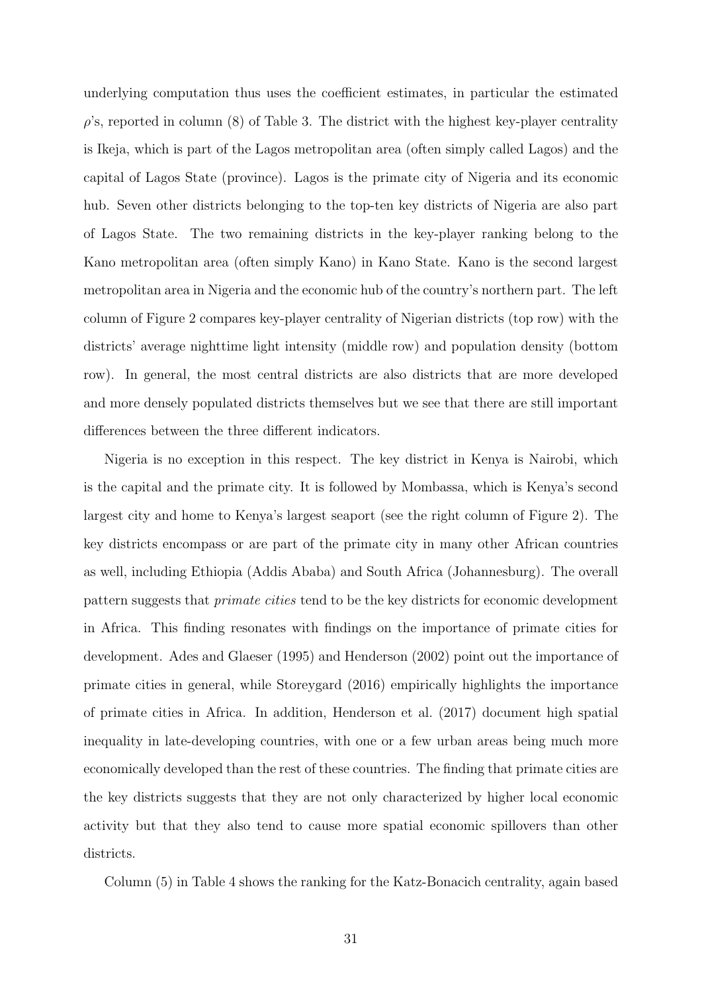underlying computation thus uses the coefficient estimates, in particular the estimated  $\rho$ 's, reported in column (8) of Table 3. The district with the highest key-player centrality is Ikeja, which is part of the Lagos metropolitan area (often simply called Lagos) and the capital of Lagos State (province). Lagos is the primate city of Nigeria and its economic hub. Seven other districts belonging to the top-ten key districts of Nigeria are also part of Lagos State. The two remaining districts in the key-player ranking belong to the Kano metropolitan area (often simply Kano) in Kano State. Kano is the second largest metropolitan area in Nigeria and the economic hub of the country's northern part. The left column of Figure 2 compares key-player centrality of Nigerian districts (top row) with the districts' average nighttime light intensity (middle row) and population density (bottom row). In general, the most central districts are also districts that are more developed and more densely populated districts themselves but we see that there are still important differences between the three different indicators.

Nigeria is no exception in this respect. The key district in Kenya is Nairobi, which is the capital and the primate city. It is followed by Mombassa, which is Kenya's second largest city and home to Kenya's largest seaport (see the right column of Figure 2). The key districts encompass or are part of the primate city in many other African countries as well, including Ethiopia (Addis Ababa) and South Africa (Johannesburg). The overall pattern suggests that primate cities tend to be the key districts for economic development in Africa. This finding resonates with findings on the importance of primate cities for development. Ades and Glaeser (1995) and Henderson (2002) point out the importance of primate cities in general, while Storeygard (2016) empirically highlights the importance of primate cities in Africa. In addition, Henderson et al. (2017) document high spatial inequality in late-developing countries, with one or a few urban areas being much more economically developed than the rest of these countries. The finding that primate cities are the key districts suggests that they are not only characterized by higher local economic activity but that they also tend to cause more spatial economic spillovers than other districts.

Column (5) in Table 4 shows the ranking for the Katz-Bonacich centrality, again based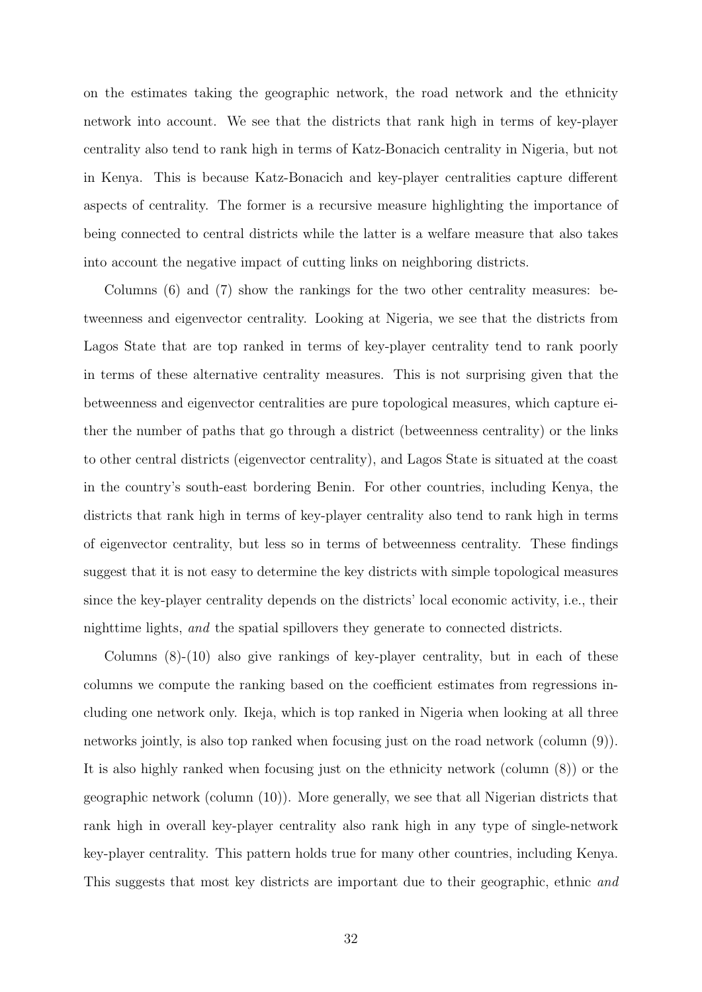on the estimates taking the geographic network, the road network and the ethnicity network into account. We see that the districts that rank high in terms of key-player centrality also tend to rank high in terms of Katz-Bonacich centrality in Nigeria, but not in Kenya. This is because Katz-Bonacich and key-player centralities capture different aspects of centrality. The former is a recursive measure highlighting the importance of being connected to central districts while the latter is a welfare measure that also takes into account the negative impact of cutting links on neighboring districts.

Columns (6) and (7) show the rankings for the two other centrality measures: betweenness and eigenvector centrality. Looking at Nigeria, we see that the districts from Lagos State that are top ranked in terms of key-player centrality tend to rank poorly in terms of these alternative centrality measures. This is not surprising given that the betweenness and eigenvector centralities are pure topological measures, which capture either the number of paths that go through a district (betweenness centrality) or the links to other central districts (eigenvector centrality), and Lagos State is situated at the coast in the country's south-east bordering Benin. For other countries, including Kenya, the districts that rank high in terms of key-player centrality also tend to rank high in terms of eigenvector centrality, but less so in terms of betweenness centrality. These findings suggest that it is not easy to determine the key districts with simple topological measures since the key-player centrality depends on the districts' local economic activity, i.e., their nighttime lights, and the spatial spillovers they generate to connected districts.

Columns (8)-(10) also give rankings of key-player centrality, but in each of these columns we compute the ranking based on the coefficient estimates from regressions including one network only. Ikeja, which is top ranked in Nigeria when looking at all three networks jointly, is also top ranked when focusing just on the road network (column (9)). It is also highly ranked when focusing just on the ethnicity network (column (8)) or the geographic network (column (10)). More generally, we see that all Nigerian districts that rank high in overall key-player centrality also rank high in any type of single-network key-player centrality. This pattern holds true for many other countries, including Kenya. This suggests that most key districts are important due to their geographic, ethnic and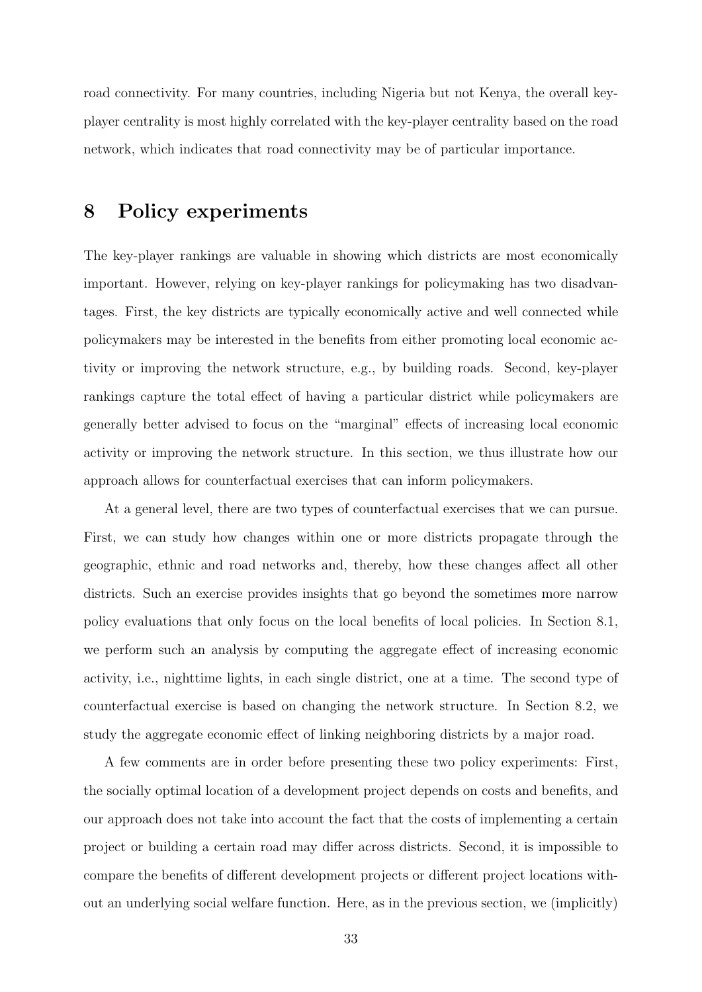road connectivity. For many countries, including Nigeria but not Kenya, the overall keyplayer centrality is most highly correlated with the key-player centrality based on the road network, which indicates that road connectivity may be of particular importance.

# 8 Policy experiments

The key-player rankings are valuable in showing which districts are most economically important. However, relying on key-player rankings for policymaking has two disadvantages. First, the key districts are typically economically active and well connected while policymakers may be interested in the benefits from either promoting local economic activity or improving the network structure, e.g., by building roads. Second, key-player rankings capture the total effect of having a particular district while policymakers are generally better advised to focus on the "marginal" effects of increasing local economic activity or improving the network structure. In this section, we thus illustrate how our approach allows for counterfactual exercises that can inform policymakers.

At a general level, there are two types of counterfactual exercises that we can pursue. First, we can study how changes within one or more districts propagate through the geographic, ethnic and road networks and, thereby, how these changes affect all other districts. Such an exercise provides insights that go beyond the sometimes more narrow policy evaluations that only focus on the local benefits of local policies. In Section 8.1, we perform such an analysis by computing the aggregate effect of increasing economic activity, i.e., nighttime lights, in each single district, one at a time. The second type of counterfactual exercise is based on changing the network structure. In Section 8.2, we study the aggregate economic effect of linking neighboring districts by a major road.

A few comments are in order before presenting these two policy experiments: First, the socially optimal location of a development project depends on costs and benefits, and our approach does not take into account the fact that the costs of implementing a certain project or building a certain road may differ across districts. Second, it is impossible to compare the benefits of different development projects or different project locations without an underlying social welfare function. Here, as in the previous section, we (implicitly)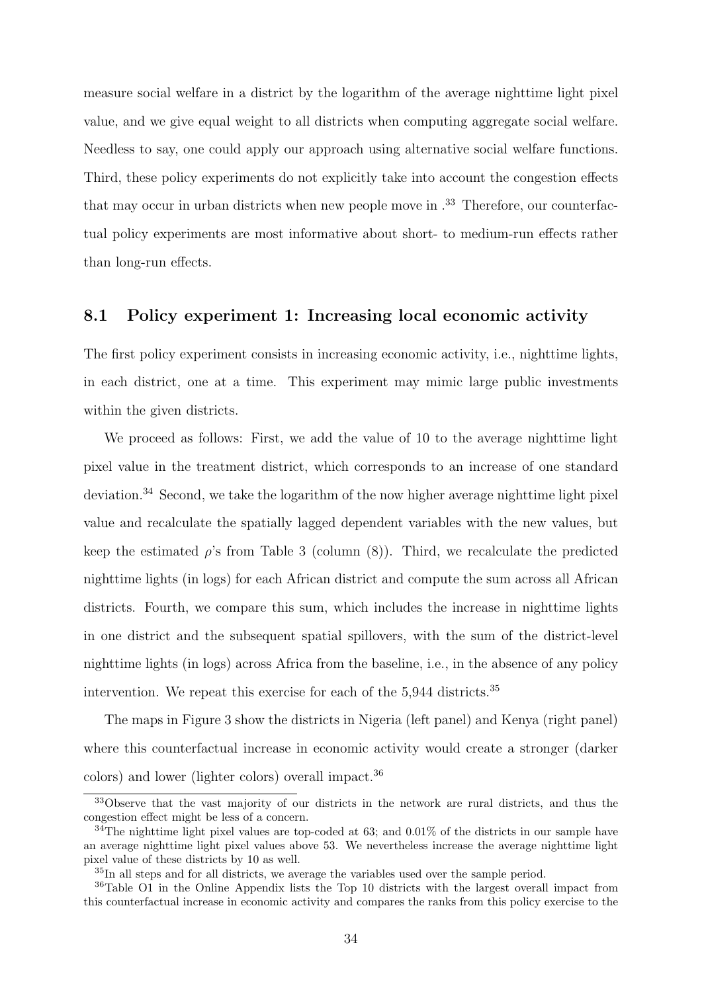measure social welfare in a district by the logarithm of the average nighttime light pixel value, and we give equal weight to all districts when computing aggregate social welfare. Needless to say, one could apply our approach using alternative social welfare functions. Third, these policy experiments do not explicitly take into account the congestion effects that may occur in urban districts when new people move in  $^{33}$  Therefore, our counterfactual policy experiments are most informative about short- to medium-run effects rather than long-run effects.

# 8.1 Policy experiment 1: Increasing local economic activity

The first policy experiment consists in increasing economic activity, i.e., nighttime lights, in each district, one at a time. This experiment may mimic large public investments within the given districts.

We proceed as follows: First, we add the value of 10 to the average nighttime light pixel value in the treatment district, which corresponds to an increase of one standard deviation.<sup>34</sup> Second, we take the logarithm of the now higher average nighttime light pixel value and recalculate the spatially lagged dependent variables with the new values, but keep the estimated  $\rho$ 's from Table 3 (column (8)). Third, we recalculate the predicted nighttime lights (in logs) for each African district and compute the sum across all African districts. Fourth, we compare this sum, which includes the increase in nighttime lights in one district and the subsequent spatial spillovers, with the sum of the district-level nighttime lights (in logs) across Africa from the baseline, i.e., in the absence of any policy intervention. We repeat this exercise for each of the 5,944 districts.<sup>35</sup>

The maps in Figure 3 show the districts in Nigeria (left panel) and Kenya (right panel) where this counterfactual increase in economic activity would create a stronger (darker colors) and lower (lighter colors) overall impact.<sup>36</sup>

<sup>&</sup>lt;sup>33</sup>Observe that the vast majority of our districts in the network are rural districts, and thus the congestion effect might be less of a concern.

 $34$ The nighttime light pixel values are top-coded at 63; and 0.01% of the districts in our sample have an average nighttime light pixel values above 53. We nevertheless increase the average nighttime light pixel value of these districts by 10 as well.

<sup>35</sup>In all steps and for all districts, we average the variables used over the sample period.

<sup>36</sup>Table O1 in the Online Appendix lists the Top 10 districts with the largest overall impact from this counterfactual increase in economic activity and compares the ranks from this policy exercise to the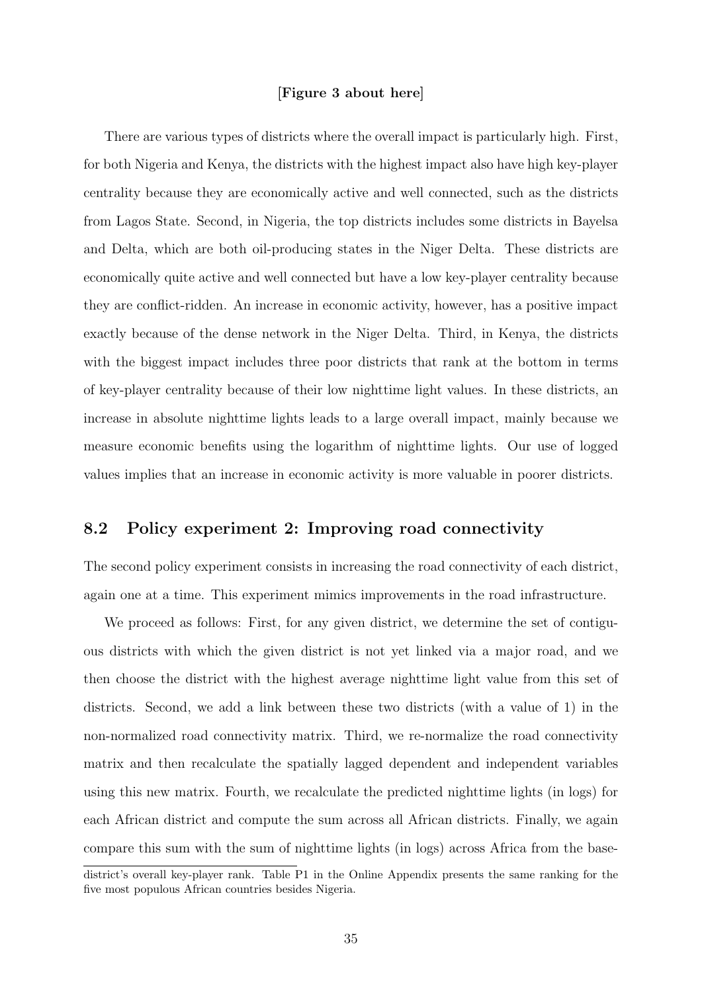#### [Figure 3 about here]

There are various types of districts where the overall impact is particularly high. First, for both Nigeria and Kenya, the districts with the highest impact also have high key-player centrality because they are economically active and well connected, such as the districts from Lagos State. Second, in Nigeria, the top districts includes some districts in Bayelsa and Delta, which are both oil-producing states in the Niger Delta. These districts are economically quite active and well connected but have a low key-player centrality because they are conflict-ridden. An increase in economic activity, however, has a positive impact exactly because of the dense network in the Niger Delta. Third, in Kenya, the districts with the biggest impact includes three poor districts that rank at the bottom in terms of key-player centrality because of their low nighttime light values. In these districts, an increase in absolute nighttime lights leads to a large overall impact, mainly because we measure economic benefits using the logarithm of nighttime lights. Our use of logged values implies that an increase in economic activity is more valuable in poorer districts.

## 8.2 Policy experiment 2: Improving road connectivity

The second policy experiment consists in increasing the road connectivity of each district, again one at a time. This experiment mimics improvements in the road infrastructure.

We proceed as follows: First, for any given district, we determine the set of contiguous districts with which the given district is not yet linked via a major road, and we then choose the district with the highest average nighttime light value from this set of districts. Second, we add a link between these two districts (with a value of 1) in the non-normalized road connectivity matrix. Third, we re-normalize the road connectivity matrix and then recalculate the spatially lagged dependent and independent variables using this new matrix. Fourth, we recalculate the predicted nighttime lights (in logs) for each African district and compute the sum across all African districts. Finally, we again compare this sum with the sum of nighttime lights (in logs) across Africa from the base-

district's overall key-player rank. Table P1 in the Online Appendix presents the same ranking for the five most populous African countries besides Nigeria.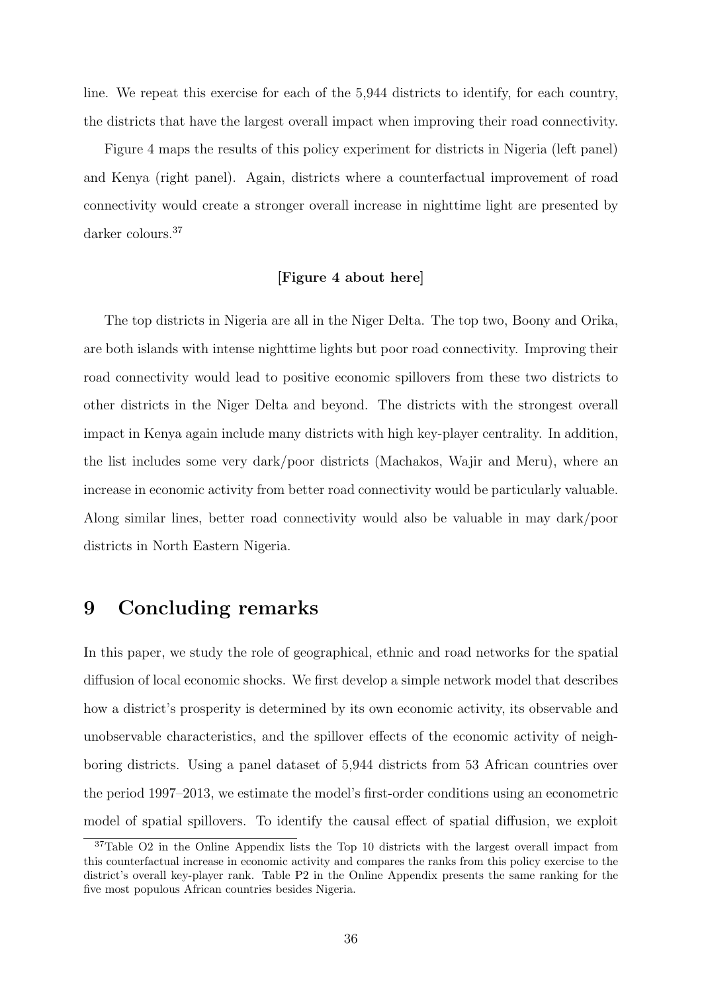line. We repeat this exercise for each of the 5,944 districts to identify, for each country, the districts that have the largest overall impact when improving their road connectivity.

Figure 4 maps the results of this policy experiment for districts in Nigeria (left panel) and Kenya (right panel). Again, districts where a counterfactual improvement of road connectivity would create a stronger overall increase in nighttime light are presented by darker colours.<sup>37</sup>

### [Figure 4 about here]

The top districts in Nigeria are all in the Niger Delta. The top two, Boony and Orika, are both islands with intense nighttime lights but poor road connectivity. Improving their road connectivity would lead to positive economic spillovers from these two districts to other districts in the Niger Delta and beyond. The districts with the strongest overall impact in Kenya again include many districts with high key-player centrality. In addition, the list includes some very dark/poor districts (Machakos, Wajir and Meru), where an increase in economic activity from better road connectivity would be particularly valuable. Along similar lines, better road connectivity would also be valuable in may dark/poor districts in North Eastern Nigeria.

# 9 Concluding remarks

In this paper, we study the role of geographical, ethnic and road networks for the spatial diffusion of local economic shocks. We first develop a simple network model that describes how a district's prosperity is determined by its own economic activity, its observable and unobservable characteristics, and the spillover effects of the economic activity of neighboring districts. Using a panel dataset of 5,944 districts from 53 African countries over the period 1997–2013, we estimate the model's first-order conditions using an econometric model of spatial spillovers. To identify the causal effect of spatial diffusion, we exploit

<sup>&</sup>lt;sup>37</sup>Table O2 in the Online Appendix lists the Top 10 districts with the largest overall impact from this counterfactual increase in economic activity and compares the ranks from this policy exercise to the district's overall key-player rank. Table P2 in the Online Appendix presents the same ranking for the five most populous African countries besides Nigeria.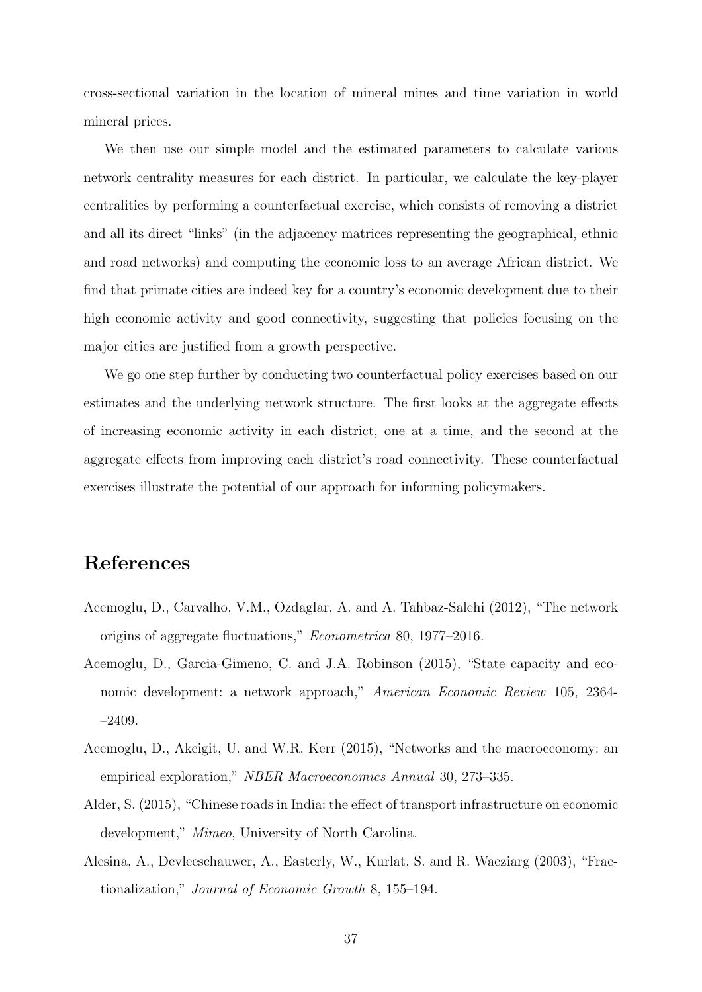cross-sectional variation in the location of mineral mines and time variation in world mineral prices.

We then use our simple model and the estimated parameters to calculate various network centrality measures for each district. In particular, we calculate the key-player centralities by performing a counterfactual exercise, which consists of removing a district and all its direct "links" (in the adjacency matrices representing the geographical, ethnic and road networks) and computing the economic loss to an average African district. We find that primate cities are indeed key for a country's economic development due to their high economic activity and good connectivity, suggesting that policies focusing on the major cities are justified from a growth perspective.

We go one step further by conducting two counterfactual policy exercises based on our estimates and the underlying network structure. The first looks at the aggregate effects of increasing economic activity in each district, one at a time, and the second at the aggregate effects from improving each district's road connectivity. These counterfactual exercises illustrate the potential of our approach for informing policymakers.

# References

- Acemoglu, D., Carvalho, V.M., Ozdaglar, A. and A. Tahbaz-Salehi (2012), "The network origins of aggregate fluctuations," Econometrica 80, 1977–2016.
- Acemoglu, D., Garcia-Gimeno, C. and J.A. Robinson (2015), "State capacity and economic development: a network approach," American Economic Review 105, 2364- –2409.
- Acemoglu, D., Akcigit, U. and W.R. Kerr (2015), "Networks and the macroeconomy: an empirical exploration," NBER Macroeconomics Annual 30, 273–335.
- Alder, S. (2015), "Chinese roads in India: the effect of transport infrastructure on economic development," Mimeo, University of North Carolina.
- Alesina, A., Devleeschauwer, A., Easterly, W., Kurlat, S. and R. Wacziarg (2003), "Fractionalization," Journal of Economic Growth 8, 155–194.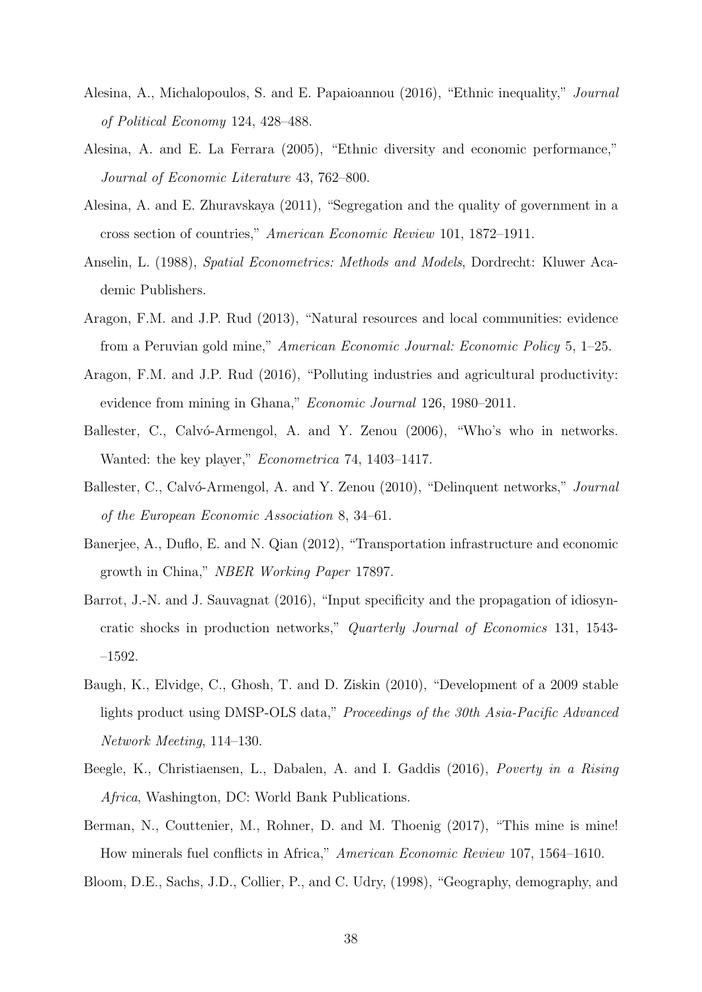- Alesina, A., Michalopoulos, S. and E. Papaioannou (2016), "Ethnic inequality," Journal of Political Economy 124, 428–488.
- Alesina, A. and E. La Ferrara (2005), "Ethnic diversity and economic performance," Journal of Economic Literature 43, 762–800.
- Alesina, A. and E. Zhuravskaya (2011), "Segregation and the quality of government in a cross section of countries," American Economic Review 101, 1872–1911.
- Anselin, L. (1988), Spatial Econometrics: Methods and Models, Dordrecht: Kluwer Academic Publishers.
- Aragon, F.M. and J.P. Rud (2013), "Natural resources and local communities: evidence from a Peruvian gold mine," American Economic Journal: Economic Policy 5, 1–25.
- Aragon, F.M. and J.P. Rud (2016), "Polluting industries and agricultural productivity: evidence from mining in Ghana," Economic Journal 126, 1980–2011.
- Ballester, C., Calvó-Armengol, A. and Y. Zenou (2006), "Who's who in networks. Wanted: the key player," *Econometrica* 74, 1403–1417.
- Ballester, C., Calvó-Armengol, A. and Y. Zenou (2010), "Delinquent networks," Journal of the European Economic Association 8, 34–61.
- Banerjee, A., Duflo, E. and N. Qian (2012), "Transportation infrastructure and economic growth in China," NBER Working Paper 17897.
- Barrot, J.-N. and J. Sauvagnat (2016), "Input specificity and the propagation of idiosyncratic shocks in production networks," Quarterly Journal of Economics 131, 1543- –1592.
- Baugh, K., Elvidge, C., Ghosh, T. and D. Ziskin (2010), "Development of a 2009 stable lights product using DMSP-OLS data," Proceedings of the 30th Asia-Pacific Advanced Network Meeting, 114–130.
- Beegle, K., Christiaensen, L., Dabalen, A. and I. Gaddis (2016), Poverty in a Rising Africa, Washington, DC: World Bank Publications.
- Berman, N., Couttenier, M., Rohner, D. and M. Thoenig (2017), "This mine is mine! How minerals fuel conflicts in Africa," American Economic Review 107, 1564–1610.

Bloom, D.E., Sachs, J.D., Collier, P., and C. Udry, (1998), "Geography, demography, and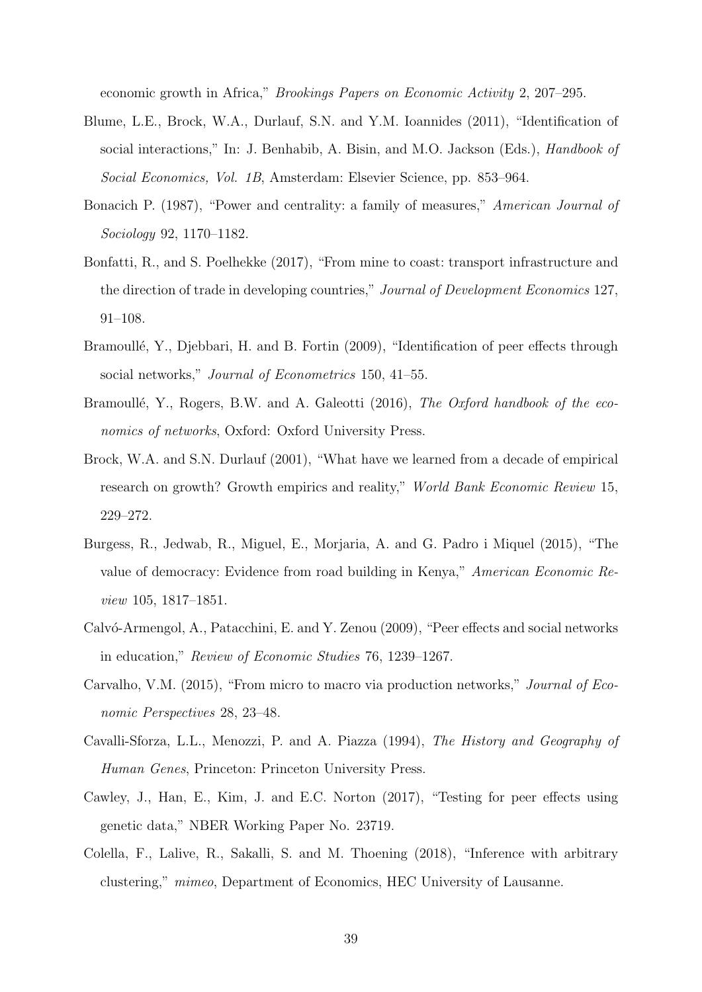economic growth in Africa," Brookings Papers on Economic Activity 2, 207–295.

- Blume, L.E., Brock, W.A., Durlauf, S.N. and Y.M. Ioannides (2011), "Identification of social interactions," In: J. Benhabib, A. Bisin, and M.O. Jackson (Eds.), *Handbook of* Social Economics, Vol. 1B, Amsterdam: Elsevier Science, pp. 853–964.
- Bonacich P. (1987), "Power and centrality: a family of measures," American Journal of Sociology 92, 1170–1182.
- Bonfatti, R., and S. Poelhekke (2017), "From mine to coast: transport infrastructure and the direction of trade in developing countries," Journal of Development Economics 127, 91–108.
- Bramoullé, Y., Djebbari, H. and B. Fortin (2009), "Identification of peer effects through social networks," Journal of Econometrics 150, 41–55.
- Bramoullé, Y., Rogers, B.W. and A. Galeotti (2016), The Oxford handbook of the economics of networks, Oxford: Oxford University Press.
- Brock, W.A. and S.N. Durlauf (2001), "What have we learned from a decade of empirical research on growth? Growth empirics and reality," World Bank Economic Review 15, 229–272.
- Burgess, R., Jedwab, R., Miguel, E., Morjaria, A. and G. Padro i Miquel (2015), "The value of democracy: Evidence from road building in Kenya," American Economic Review 105, 1817–1851.
- Calvó-Armengol, A., Patacchini, E. and Y. Zenou (2009), "Peer effects and social networks in education," Review of Economic Studies 76, 1239–1267.
- Carvalho, V.M. (2015), "From micro to macro via production networks," Journal of Economic Perspectives 28, 23–48.
- Cavalli-Sforza, L.L., Menozzi, P. and A. Piazza (1994), The History and Geography of Human Genes, Princeton: Princeton University Press.
- Cawley, J., Han, E., Kim, J. and E.C. Norton (2017), "Testing for peer effects using genetic data," NBER Working Paper No. 23719.
- Colella, F., Lalive, R., Sakalli, S. and M. Thoening (2018), "Inference with arbitrary clustering," mimeo, Department of Economics, HEC University of Lausanne.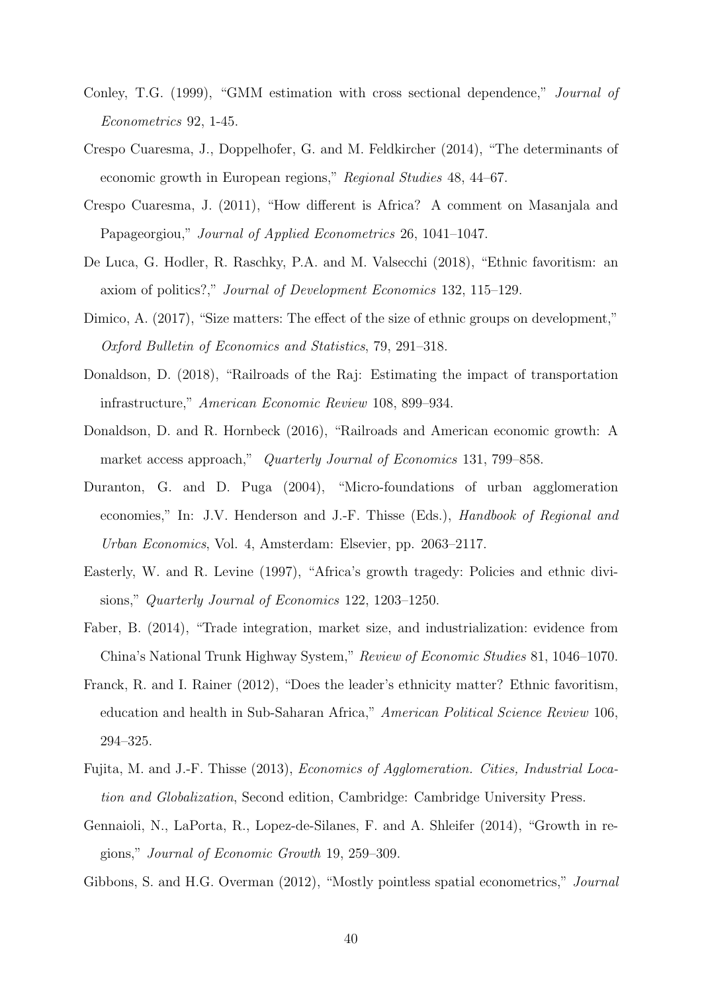- Conley, T.G. (1999), "GMM estimation with cross sectional dependence," Journal of Econometrics 92, 1-45.
- Crespo Cuaresma, J., Doppelhofer, G. and M. Feldkircher (2014), "The determinants of economic growth in European regions," Regional Studies 48, 44–67.
- Crespo Cuaresma, J. (2011), "How different is Africa? A comment on Masanjala and Papageorgiou," Journal of Applied Econometrics 26, 1041–1047.
- De Luca, G. Hodler, R. Raschky, P.A. and M. Valsecchi (2018), "Ethnic favoritism: an axiom of politics?," Journal of Development Economics 132, 115–129.
- Dimico, A.  $(2017)$ , "Size matters: The effect of the size of ethnic groups on development," Oxford Bulletin of Economics and Statistics, 79, 291–318.
- Donaldson, D. (2018), "Railroads of the Raj: Estimating the impact of transportation infrastructure," American Economic Review 108, 899–934.
- Donaldson, D. and R. Hornbeck (2016), "Railroads and American economic growth: A market access approach," Quarterly Journal of Economics 131, 799–858.
- Duranton, G. and D. Puga (2004), "Micro-foundations of urban agglomeration economies," In: J.V. Henderson and J.-F. Thisse (Eds.), Handbook of Regional and Urban Economics, Vol. 4, Amsterdam: Elsevier, pp. 2063–2117.
- Easterly, W. and R. Levine (1997), "Africa's growth tragedy: Policies and ethnic divisions," Quarterly Journal of Economics 122, 1203–1250.
- Faber, B. (2014), "Trade integration, market size, and industrialization: evidence from China's National Trunk Highway System," Review of Economic Studies 81, 1046–1070.
- Franck, R. and I. Rainer (2012), "Does the leader's ethnicity matter? Ethnic favoritism, education and health in Sub-Saharan Africa," American Political Science Review 106, 294–325.
- Fujita, M. and J.-F. Thisse (2013), Economics of Agglomeration. Cities, Industrial Location and Globalization, Second edition, Cambridge: Cambridge University Press.
- Gennaioli, N., LaPorta, R., Lopez-de-Silanes, F. and A. Shleifer (2014), "Growth in regions," Journal of Economic Growth 19, 259–309.
- Gibbons, S. and H.G. Overman (2012), "Mostly pointless spatial econometrics," Journal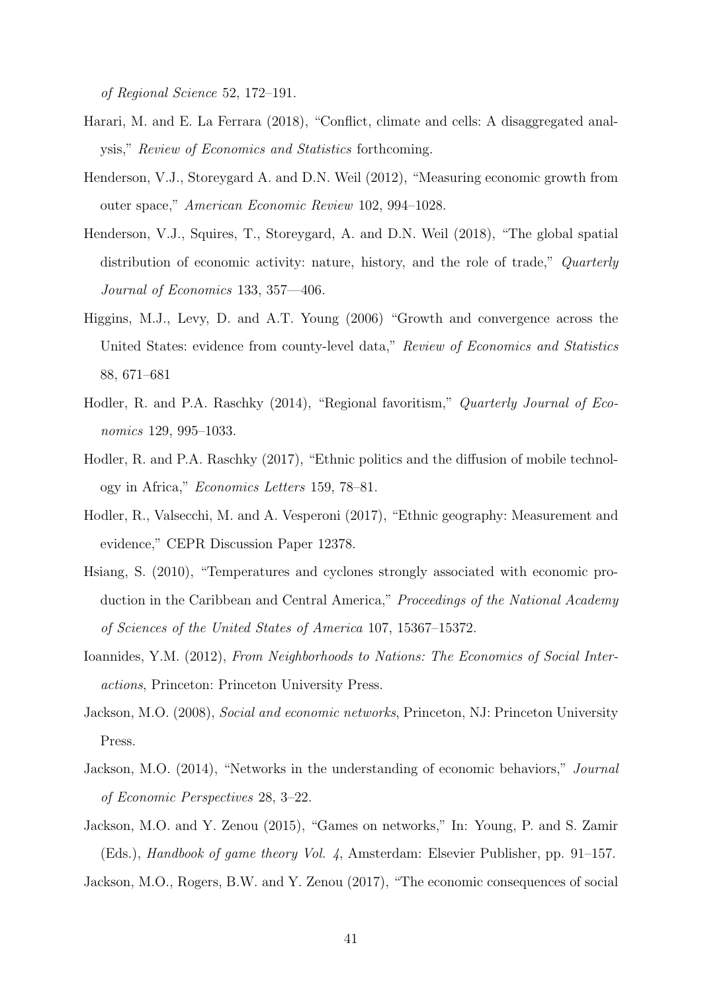of Regional Science 52, 172–191.

- Harari, M. and E. La Ferrara (2018), "Conflict, climate and cells: A disaggregated analysis," Review of Economics and Statistics forthcoming.
- Henderson, V.J., Storeygard A. and D.N. Weil (2012), "Measuring economic growth from outer space," American Economic Review 102, 994–1028.
- Henderson, V.J., Squires, T., Storeygard, A. and D.N. Weil (2018), "The global spatial distribution of economic activity: nature, history, and the role of trade," Quarterly Journal of Economics 133, 357—406.
- Higgins, M.J., Levy, D. and A.T. Young (2006) "Growth and convergence across the United States: evidence from county-level data," Review of Economics and Statistics 88, 671–681
- Hodler, R. and P.A. Raschky (2014), "Regional favoritism," Quarterly Journal of Economics 129, 995–1033.
- Hodler, R. and P.A. Raschky (2017), "Ethnic politics and the diffusion of mobile technology in Africa," Economics Letters 159, 78–81.
- Hodler, R., Valsecchi, M. and A. Vesperoni (2017), "Ethnic geography: Measurement and evidence," CEPR Discussion Paper 12378.
- Hsiang, S. (2010), "Temperatures and cyclones strongly associated with economic production in the Caribbean and Central America," *Proceedings of the National Academy* of Sciences of the United States of America 107, 15367–15372.
- Ioannides, Y.M. (2012), From Neighborhoods to Nations: The Economics of Social Interactions, Princeton: Princeton University Press.
- Jackson, M.O. (2008), Social and economic networks, Princeton, NJ: Princeton University Press.
- Jackson, M.O. (2014), "Networks in the understanding of economic behaviors," Journal of Economic Perspectives 28, 3–22.
- Jackson, M.O. and Y. Zenou (2015), "Games on networks," In: Young, P. and S. Zamir (Eds.), Handbook of game theory Vol. 4, Amsterdam: Elsevier Publisher, pp. 91–157. Jackson, M.O., Rogers, B.W. and Y. Zenou (2017), "The economic consequences of social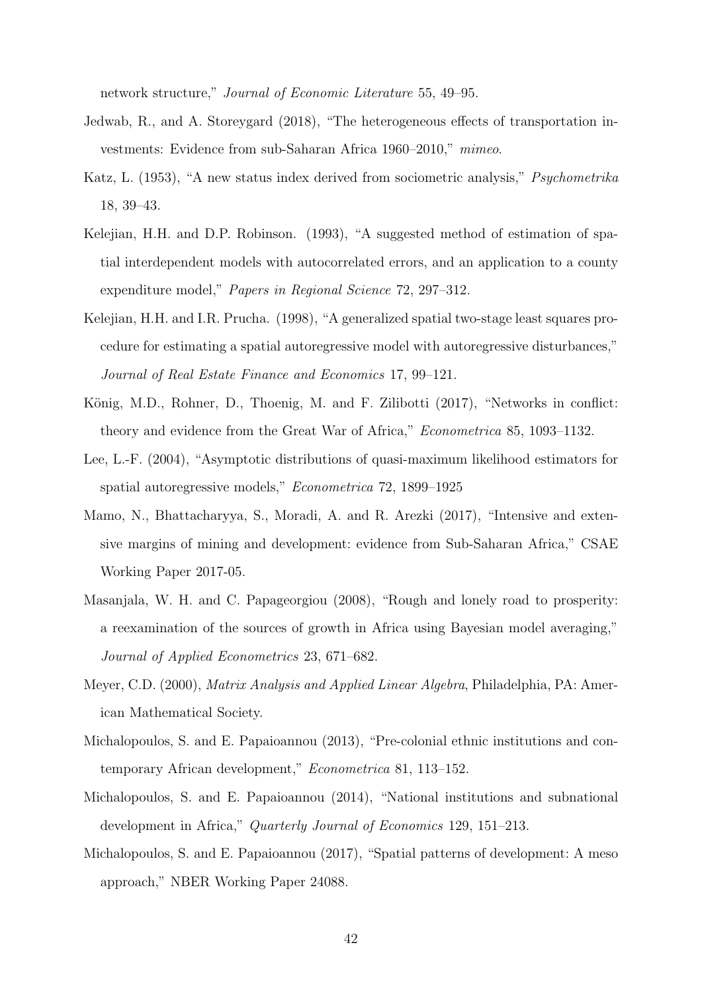network structure," Journal of Economic Literature 55, 49–95.

- Jedwab, R., and A. Storeygard (2018), "The heterogeneous effects of transportation investments: Evidence from sub-Saharan Africa 1960–2010," mimeo.
- Katz, L. (1953), "A new status index derived from sociometric analysis," Psychometrika 18, 39–43.
- Kelejian, H.H. and D.P. Robinson. (1993), "A suggested method of estimation of spatial interdependent models with autocorrelated errors, and an application to a county expenditure model," Papers in Regional Science 72, 297-312.
- Kelejian, H.H. and I.R. Prucha. (1998), "A generalized spatial two-stage least squares procedure for estimating a spatial autoregressive model with autoregressive disturbances," Journal of Real Estate Finance and Economics 17, 99–121.
- König, M.D., Rohner, D., Thoenig, M. and F. Zilibotti (2017), "Networks in conflict: theory and evidence from the Great War of Africa," *Econometrica* 85, 1093-1132.
- Lee, L.-F. (2004), "Asymptotic distributions of quasi-maximum likelihood estimators for spatial autoregressive models," Econometrica 72, 1899–1925
- Mamo, N., Bhattacharyya, S., Moradi, A. and R. Arezki (2017), "Intensive and extensive margins of mining and development: evidence from Sub-Saharan Africa," CSAE Working Paper 2017-05.
- Masanjala, W. H. and C. Papageorgiou (2008), "Rough and lonely road to prosperity: a reexamination of the sources of growth in Africa using Bayesian model averaging," Journal of Applied Econometrics 23, 671–682.
- Meyer, C.D. (2000), *Matrix Analysis and Applied Linear Algebra*, Philadelphia, PA: American Mathematical Society.
- Michalopoulos, S. and E. Papaioannou (2013), "Pre-colonial ethnic institutions and contemporary African development," Econometrica 81, 113–152.
- Michalopoulos, S. and E. Papaioannou (2014), "National institutions and subnational development in Africa," Quarterly Journal of Economics 129, 151–213.
- Michalopoulos, S. and E. Papaioannou (2017), "Spatial patterns of development: A meso approach," NBER Working Paper 24088.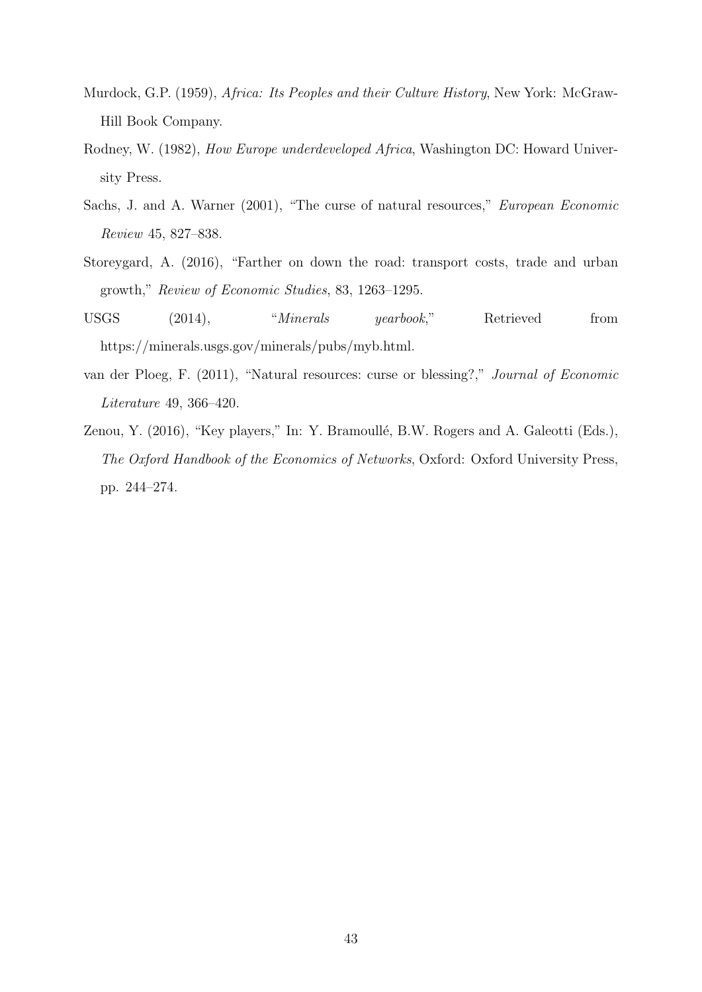- Murdock, G.P. (1959), Africa: Its Peoples and their Culture History, New York: McGraw-Hill Book Company.
- Rodney, W. (1982), How Europe underdeveloped Africa, Washington DC: Howard University Press.
- Sachs, J. and A. Warner (2001), "The curse of natural resources," European Economic Review 45, 827–838.
- Storeygard, A. (2016), "Farther on down the road: transport costs, trade and urban growth," Review of Economic Studies, 83, 1263–1295.
- USGS (2014), "*Minerals yearbook*," Retrieved from https://minerals.usgs.gov/minerals/pubs/myb.html.
- van der Ploeg, F. (2011), "Natural resources: curse or blessing?," Journal of Economic Literature 49, 366–420.
- Zenou, Y. (2016), "Key players," In: Y. Bramoullé, B.W. Rogers and A. Galeotti (Eds.), The Oxford Handbook of the Economics of Networks, Oxford: Oxford University Press, pp. 244–274.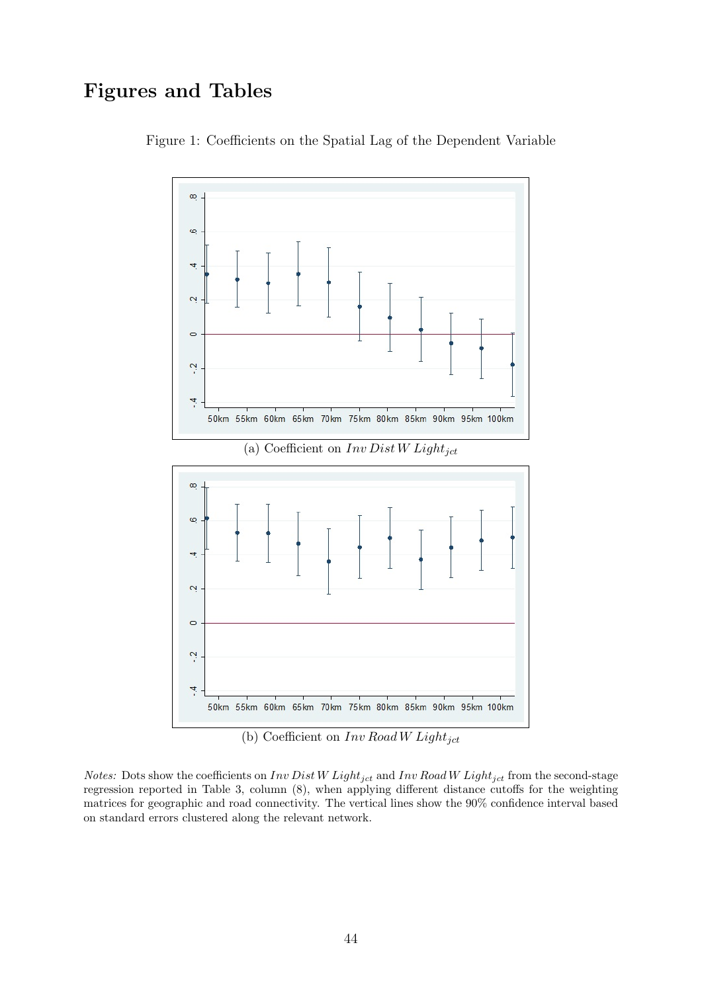# Figures and Tables



Figure 1: Coefficients on the Spatial Lag of the Dependent Variable

(b) Coefficient on  $Inv$  Road W Light<sub>jct</sub>

*Notes:* Dots show the coefficients on  $Inv\,Dist\,W\,Light_{jet}$  and  $Inv\, Road\,W\, Light_{jet}$  from the second-stage regression reported in Table 3, column (8), when applying different distance cutoffs for the weighting matrices for geographic and road connectivity. The vertical lines show the 90% confidence interval based on standard errors clustered along the relevant network.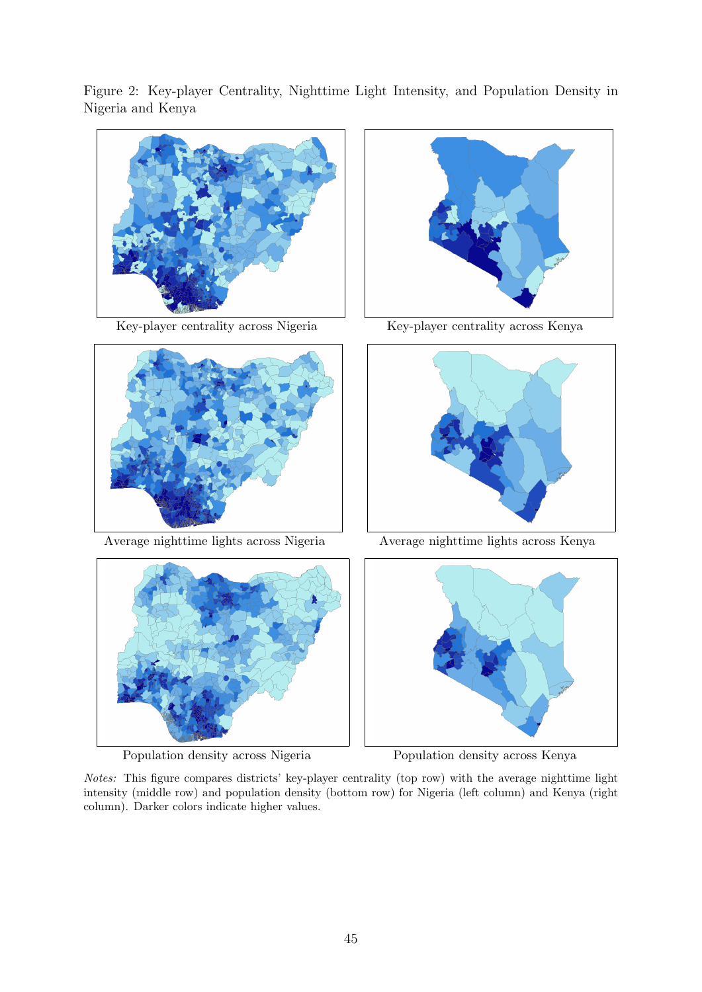Figure 2: Key-player Centrality, Nighttime Light Intensity, and Population Density in Nigeria and Kenya





Average nighttime lights across Nigeria Average nighttime lights across Kenya



Population density across Nigeria Population density across Kenya



Key-player centrality across Nigeria Key-player centrality across Kenya





Notes: This figure compares districts' key-player centrality (top row) with the average nighttime light intensity (middle row) and population density (bottom row) for Nigeria (left column) and Kenya (right column). Darker colors indicate higher values.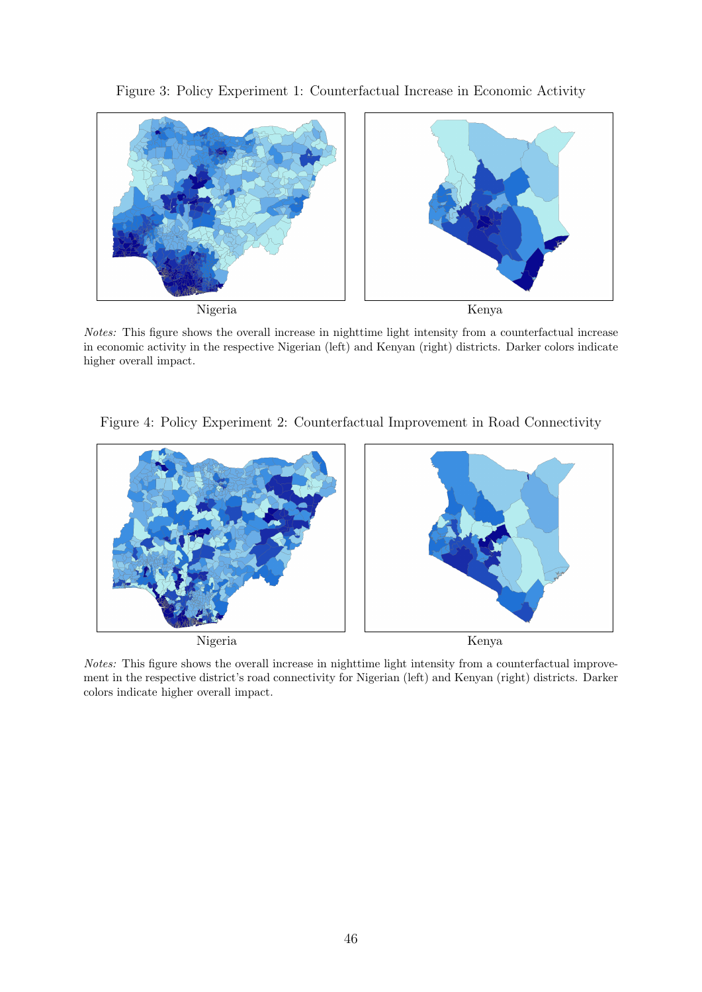## Figure 3: Policy Experiment 1: Counterfactual Increase in Economic Activity



Notes: This figure shows the overall increase in nighttime light intensity from a counterfactual increase in economic activity in the respective Nigerian (left) and Kenyan (right) districts. Darker colors indicate higher overall impact.

Figure 4: Policy Experiment 2: Counterfactual Improvement in Road Connectivity



Notes: This figure shows the overall increase in nighttime light intensity from a counterfactual improvement in the respective district's road connectivity for Nigerian (left) and Kenyan (right) districts. Darker colors indicate higher overall impact.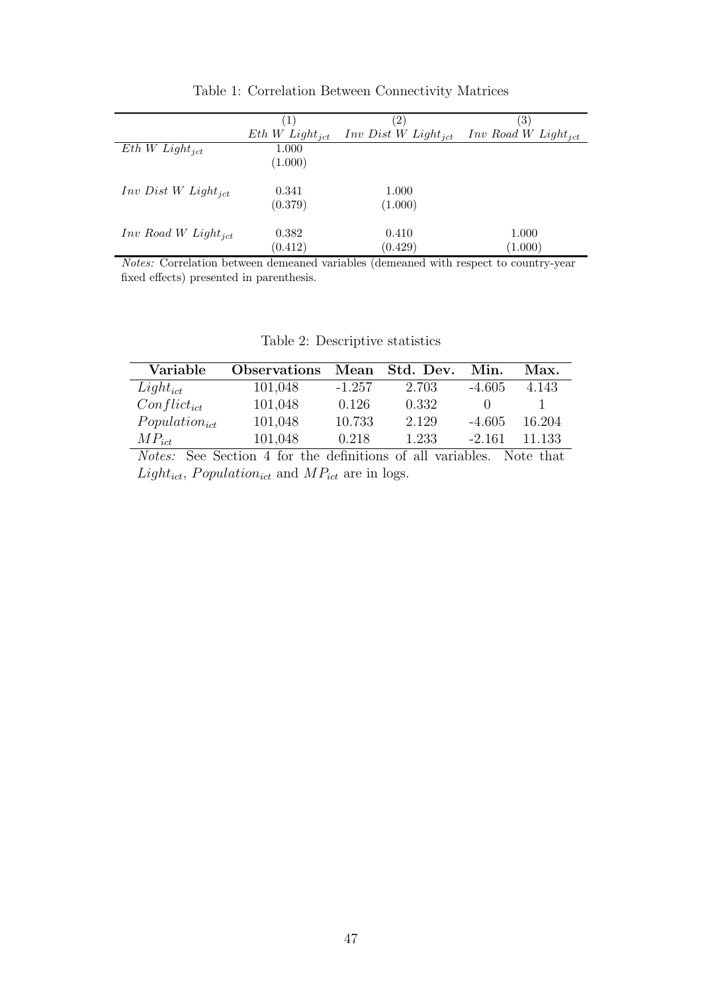|                                       | ( 1                 | $\left( 2\right)$                     | $\left(3\right)$                  |
|---------------------------------------|---------------------|---------------------------------------|-----------------------------------|
|                                       | $Eth W Light_{ict}$ | <i>Inv Dist W Light<sub>ict</sub></i> | $Inv$ Road W Light <sub>ict</sub> |
| $Eth W Light_{ict}$                   | 1.000               |                                       |                                   |
|                                       | (1.000)             |                                       |                                   |
| <i>Inv Dist W Light<sub>ict</sub></i> | 0.341               | 1.000                                 |                                   |
|                                       | (0.379)             | (1.000)                               |                                   |
| $Inv$ Road W Light <sub>ict</sub>     | 0.382               | 0.410                                 | 1.000                             |
|                                       | (0.412)             | (0.429)                               | (1.000)                           |

Table 1: Correlation Between Connectivity Matrices

l,

Notes: Correlation between demeaned variables (demeaned with respect to country-year fixed effects) presented in parenthesis.

| Variable           | <b>Observations</b> | Mean     | Std. Dev. | Min.     | Max.   |
|--------------------|---------------------|----------|-----------|----------|--------|
| $Light_{ict}$      | 101,048             | $-1.257$ | 2.703     | $-4.605$ | 4.143  |
| $Conflict_{ict}$   | 101,048             | 0.126    | 0.332     |          |        |
| $Population_{ict}$ | 101,048             | 10.733   | 2.129     | $-4.605$ | 16.204 |
| $MP_{ict}$         | 101,048             | 0.218    | 1.233     | $-2.161$ | 11 133 |

Table 2: Descriptive statistics

Notes: See Section 4 for the definitions of all variables. Note that  $Light_{ict}$ , Population<sub>ict</sub> and  $MP_{ict}$  are in logs.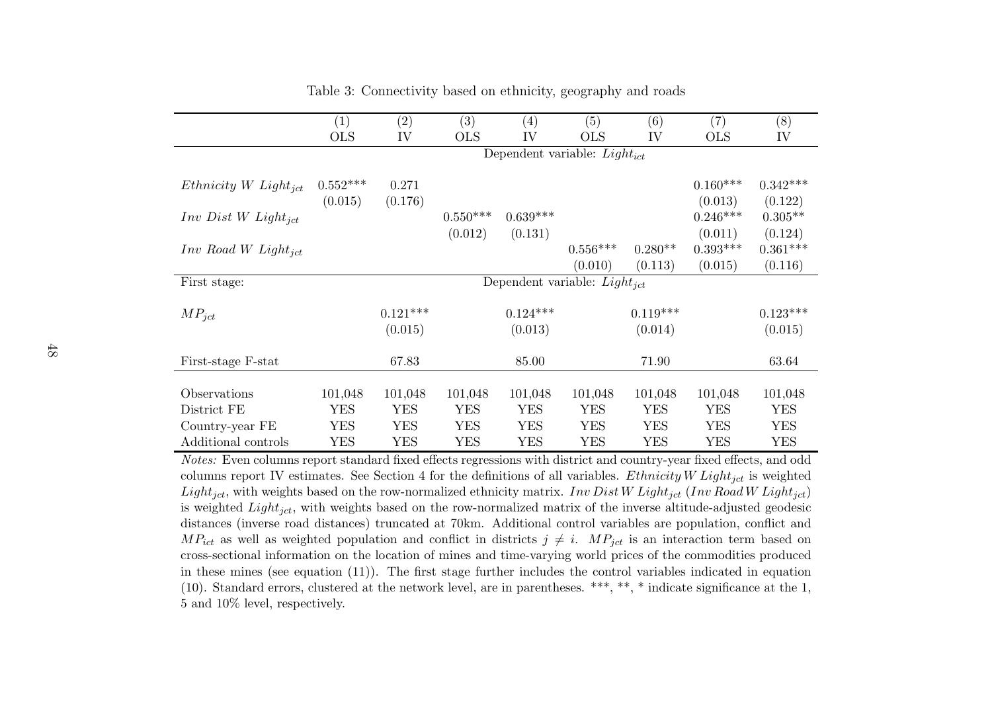|                                   | $\left( 1\right)$ | (2)                               | $\left( 3\right)$ | $\left( 4\right)$ | (5)                               | (6)        | $\left( 7\right)$ | (8)        |  |
|-----------------------------------|-------------------|-----------------------------------|-------------------|-------------------|-----------------------------------|------------|-------------------|------------|--|
|                                   | <b>OLS</b>        | IV                                | <b>OLS</b>        | IV                | <b>OLS</b>                        | IV         | <b>OLS</b>        | IV         |  |
|                                   |                   | Dependent variable: $Light_{ict}$ |                   |                   |                                   |            |                   |            |  |
|                                   |                   |                                   |                   |                   |                                   |            |                   |            |  |
| $Ethnicity\ W\ Light_{ict}$       | $0.552***$        | 0.271                             |                   |                   |                                   |            | $0.160***$        | $0.342***$ |  |
|                                   | (0.015)           | (0.176)                           |                   |                   |                                   |            | (0.013)           | (0.122)    |  |
| $Inv\ Dist\ W\ Light_{ict}$       |                   |                                   | $0.550***$        | $0.639***$        |                                   |            | $0.246***$        | $0.305**$  |  |
|                                   |                   |                                   | (0.012)           | (0.131)           |                                   |            | (0.011)           | (0.124)    |  |
| $Inv$ Road W Light <sub>ict</sub> |                   |                                   |                   |                   | $0.556***$                        | $0.280**$  | $0.393***$        | $0.361***$ |  |
|                                   |                   |                                   |                   |                   | (0.010)                           | (0.113)    | (0.015)           | (0.116)    |  |
| First stage:                      |                   |                                   |                   |                   | Dependent variable: $Light_{ict}$ |            |                   |            |  |
|                                   |                   |                                   |                   |                   |                                   |            |                   |            |  |
| $MP_{ict}$                        |                   | $0.121***$                        |                   | $0.124***$        |                                   | $0.119***$ |                   | $0.123***$ |  |
|                                   |                   | (0.015)                           |                   | (0.013)           |                                   | (0.014)    |                   | (0.015)    |  |
|                                   |                   |                                   |                   |                   |                                   |            |                   |            |  |
| First-stage F-stat                |                   | 67.83                             |                   | 85.00             |                                   | 71.90      |                   | 63.64      |  |
|                                   |                   |                                   |                   |                   |                                   |            |                   |            |  |
| Observations                      | 101,048           | 101,048                           | 101,048           | 101,048           | 101,048                           | 101,048    | 101,048           | 101,048    |  |
| District FE                       | <b>YES</b>        | <b>YES</b>                        | <b>YES</b>        | <b>YES</b>        | <b>YES</b>                        | <b>YES</b> | <b>YES</b>        | <b>YES</b> |  |
| Country-year FE                   | <b>YES</b>        | <b>YES</b>                        | <b>YES</b>        | <b>YES</b>        | <b>YES</b>                        | <b>YES</b> | <b>YES</b>        | YES        |  |
| Additional controls               | YES               | YES                               | <b>YES</b>        | YES               | YES                               | YES        | <b>YES</b>        | YES        |  |

Table 3: Connectivity based on ethnicity, geography and roads

 Notes: Even columns report standard fixed effects regressions with district and country-year fixed effects, and oddcolumns report IV estimates. See Section 4 for the definitions of all variables. *Ethnicity W Light<sub>jct</sub>* is weighted  $Light_{jet}$ , with weights based on the row-normalized ethnicity matrix. Inv  $Dist\,W\,Light_{jet}$  (Inv Road W Light<sub>jct</sub>) is weighted  $Light_{jet}$ , with weights based on the row-normalized matrix of the inverse altitude-adjusted geodesic distances (inverse road distances) truncated at 70km. Additional control variables are population, conflict and $MP_{ict}$  as well as weighted population and conflict in districts  $j \neq i$ .  $MP_{ict}$  is an interaction term based on cross-sectional information on the location of mines and time-varying world prices of the commodities produced in these mines (see equation (11)). The first stage further includes the control variables indicated in equation (10). Standard errors, clustered at the network level, are in parentheses. \*\*\*, \*\*, \* indicate significance at the 1, 5 and 10% level, respectively.